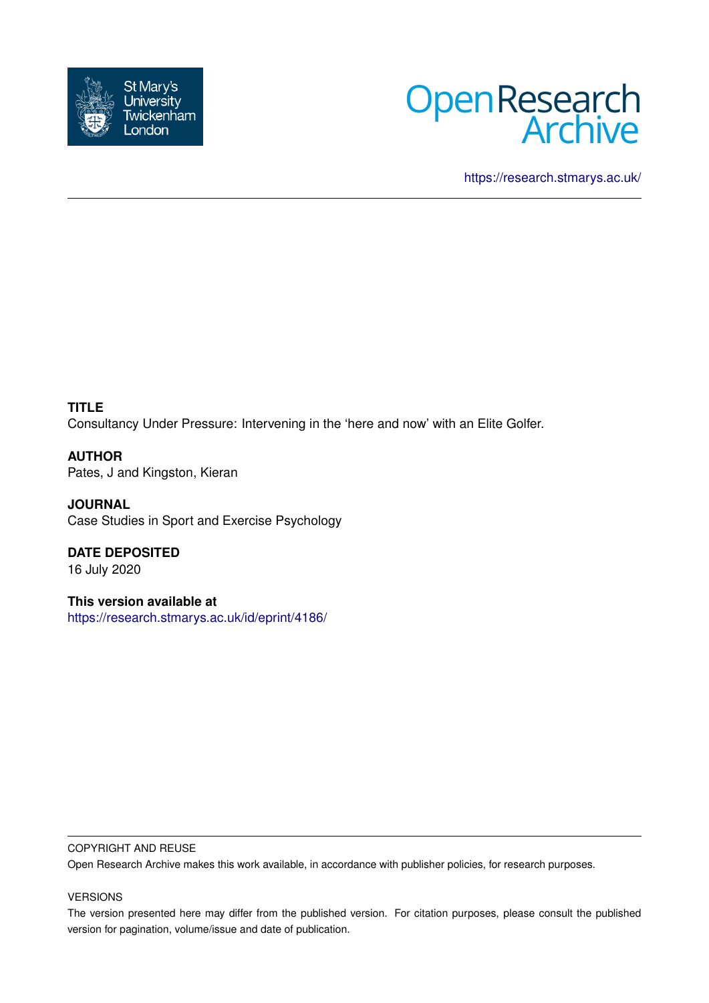



<https://research.stmarys.ac.uk/>

**TITLE** Consultancy Under Pressure: Intervening in the 'here and now' with an Elite Golfer.

**AUTHOR** Pates, J and Kingston, Kieran

**JOURNAL** Case Studies in Sport and Exercise Psychology

**DATE DEPOSITED** 16 July 2020

**This version available at** <https://research.stmarys.ac.uk/id/eprint/4186/>

### COPYRIGHT AND REUSE

Open Research Archive makes this work available, in accordance with publisher policies, for research purposes.

## VERSIONS

The version presented here may differ from the published version. For citation purposes, please consult the published version for pagination, volume/issue and date of publication.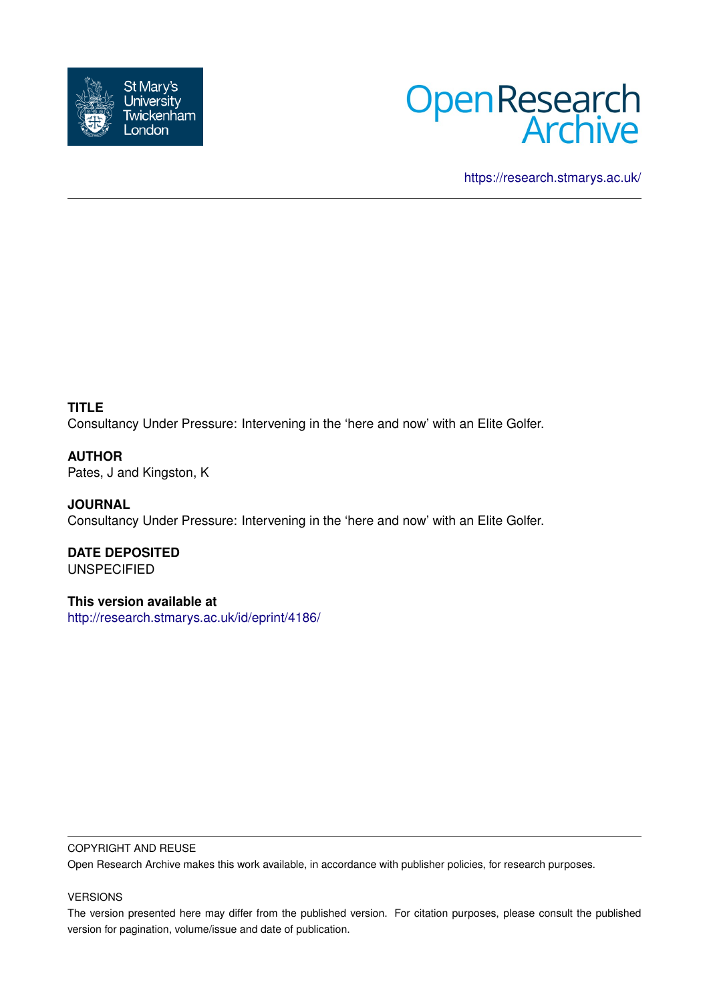



<https://research.stmarys.ac.uk/>

**TITLE** Consultancy Under Pressure: Intervening in the 'here and now' with an Elite Golfer.

**AUTHOR** Pates, J and Kingston, K

**JOURNAL** Consultancy Under Pressure: Intervening in the 'here and now' with an Elite Golfer.

**DATE DEPOSITED** UNSPECIFIED

**This version available at** <http://research.stmarys.ac.uk/id/eprint/4186/>

### COPYRIGHT AND REUSE

Open Research Archive makes this work available, in accordance with publisher policies, for research purposes.

#### VERSIONS

The version presented here may differ from the published version. For citation purposes, please consult the published version for pagination, volume/issue and date of publication.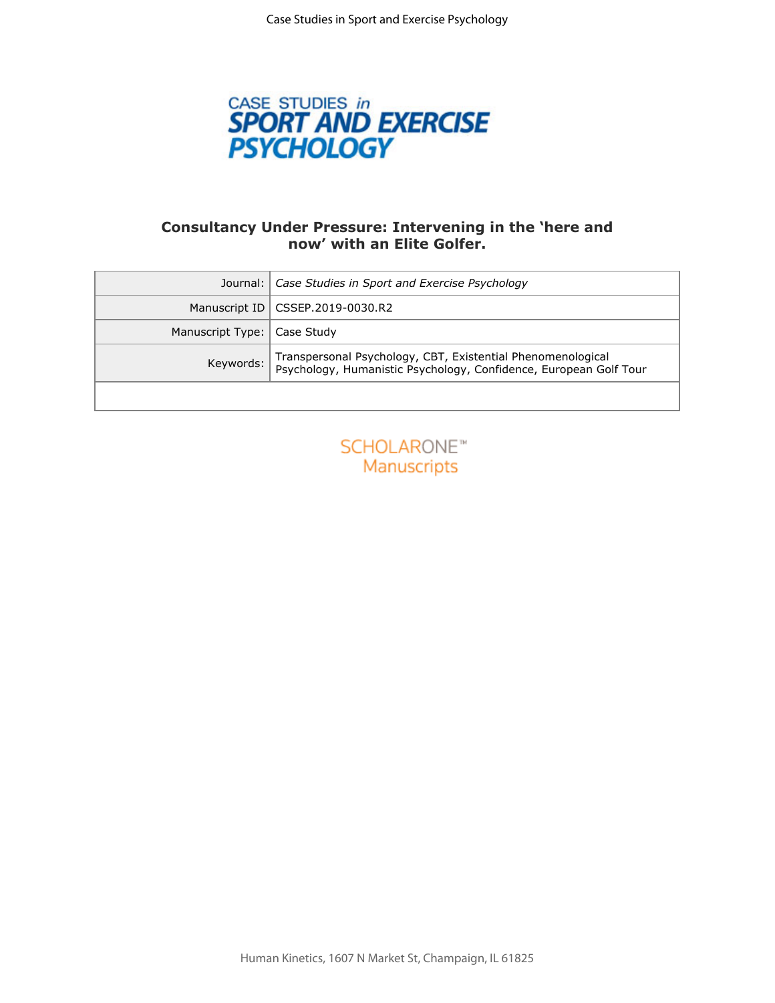

# **Consultancy Under Pressure: Intervening in the 'here and now' with an Elite Golfer.**

| Journal:                          | Case Studies in Sport and Exercise Psychology                                                                                    |
|-----------------------------------|----------------------------------------------------------------------------------------------------------------------------------|
| Manuscript ID                     | CSSEP.2019-0030.R2                                                                                                               |
| Manuscript Type:                  | Case Study                                                                                                                       |
| Keywords:                         | Transpersonal Psychology, CBT, Existential Phenomenological<br>Psychology, Humanistic Psychology, Confidence, European Golf Tour |
|                                   |                                                                                                                                  |
| <b>SCHOLARONE™</b><br>Manuscripts |                                                                                                                                  |

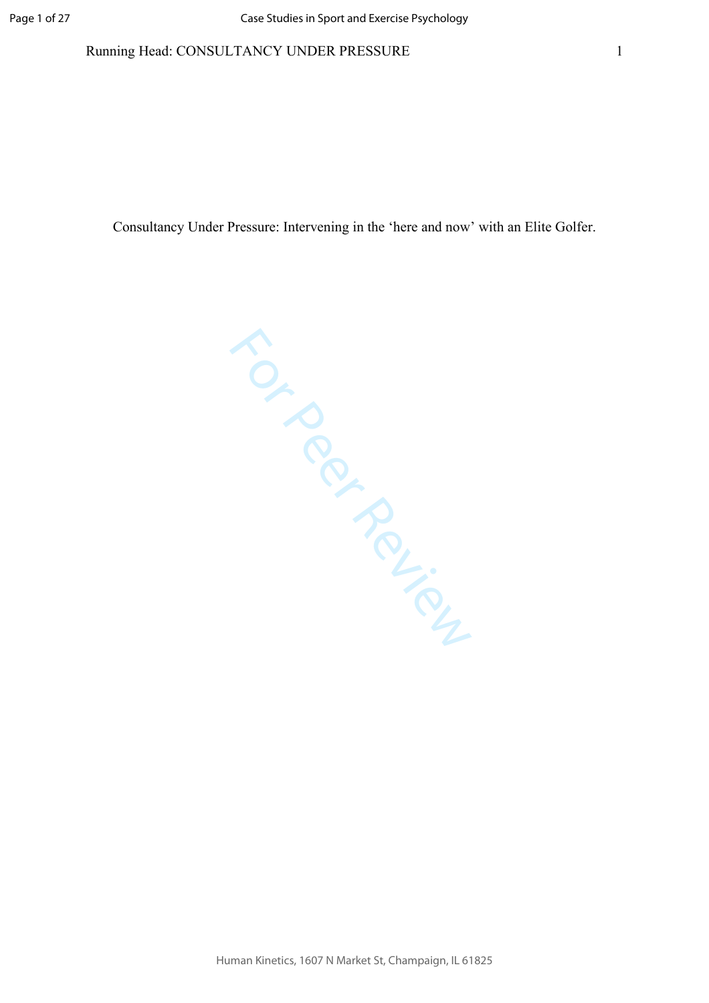### Running Head: CONSULTANCY UNDER PRESSURE

Consultancy Under Pressure: Intervening in the 'here and now' with an Elite Golfer.

TO Review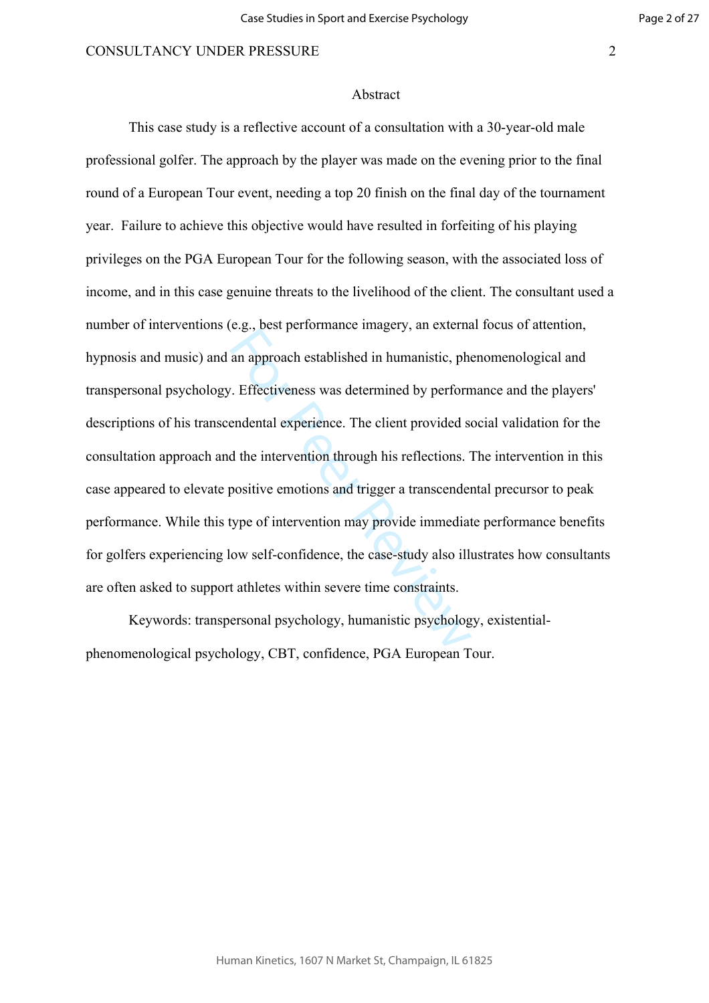#### Abstract

estigated in humanistic, phononial an approach established in humanistic, phononial and approach established in humanistic, phononial experience. The client provided sold the intervention through his reflections. The posit This case study is a reflective account of a consultation with a 30-year-old male professional golfer. The approach by the player was made on the evening prior to the final round of a European Tour event, needing a top 20 finish on the final day of the tournament year. Failure to achieve this objective would have resulted in forfeiting of his playing privileges on the PGA European Tour for the following season, with the associated loss of income, and in this case genuine threats to the livelihood of the client. The consultant used a number of interventions (e.g., best performance imagery, an external focus of attention, hypnosis and music) and an approach established in humanistic, phenomenological and transpersonal psychology. Effectiveness was determined by performance and the players' descriptions of his transcendental experience. The client provided social validation for the consultation approach and the intervention through his reflections. The intervention in this case appeared to elevate positive emotions and trigger a transcendental precursor to peak performance. While this type of intervention may provide immediate performance benefits for golfers experiencing low self-confidence, the case-study also illustrates how consultants are often asked to support athletes within severe time constraints.

Keywords: transpersonal psychology, humanistic psychology, existentialphenomenological psychology, CBT, confidence, PGA European Tour.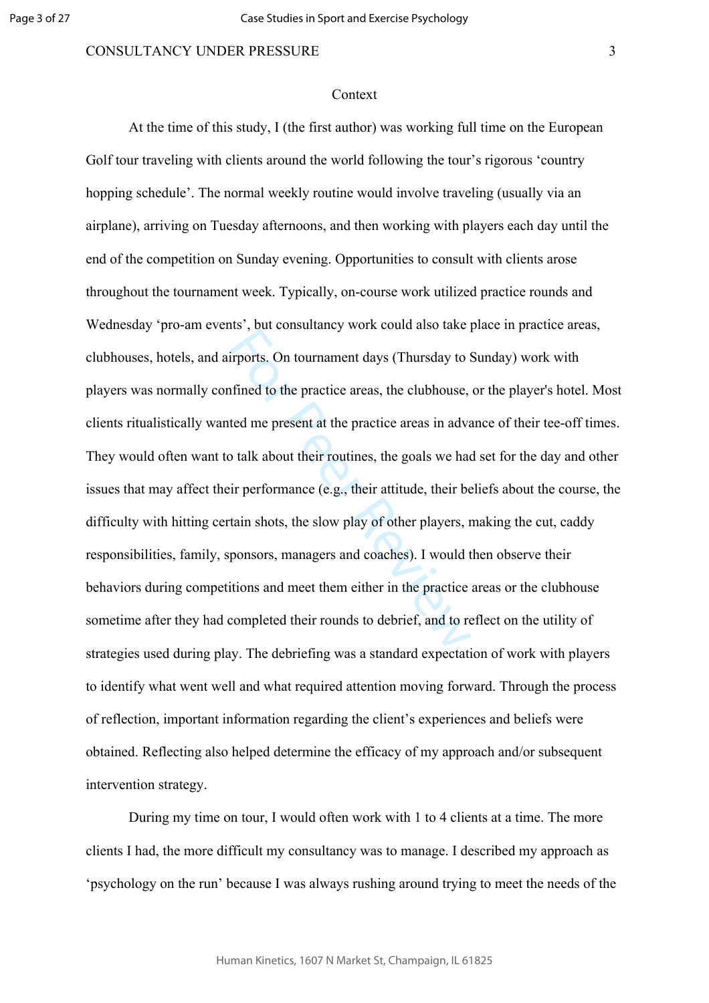#### Context

For Peer Reviewal and the Higheral and the Higheral infined to the practice areas, the clubhouse,<br>ted me present at the practice areas in advast the practice areas in advast their routines, the goals we had<br>ir performance At the time of this study, I (the first author) was working full time on the European Golf tour traveling with clients around the world following the tour's rigorous 'country hopping schedule'. The normal weekly routine would involve traveling (usually via an airplane), arriving on Tuesday afternoons, and then working with players each day until the end of the competition on Sunday evening. Opportunities to consult with clients arose throughout the tournament week. Typically, on-course work utilized practice rounds and Wednesday 'pro-am events', but consultancy work could also take place in practice areas, clubhouses, hotels, and airports. On tournament days (Thursday to Sunday) work with players was normally confined to the practice areas, the clubhouse, or the player's hotel. Most clients ritualistically wanted me present at the practice areas in advance of their tee-off times. They would often want to talk about their routines, the goals we had set for the day and other issues that may affect their performance (e.g., their attitude, their beliefs about the course, the difficulty with hitting certain shots, the slow play of other players, making the cut, caddy responsibilities, family, sponsors, managers and coaches). I would then observe their behaviors during competitions and meet them either in the practice areas or the clubhouse sometime after they had completed their rounds to debrief, and to reflect on the utility of strategies used during play. The debriefing was a standard expectation of work with players to identify what went well and what required attention moving forward. Through the process of reflection, important information regarding the client's experiences and beliefs were obtained. Reflecting also helped determine the efficacy of my approach and/or subsequent intervention strategy.

During my time on tour, I would often work with 1 to 4 clients at a time. The more clients I had, the more difficult my consultancy was to manage. I described my approach as 'psychology on the run' because I was always rushing around trying to meet the needs of the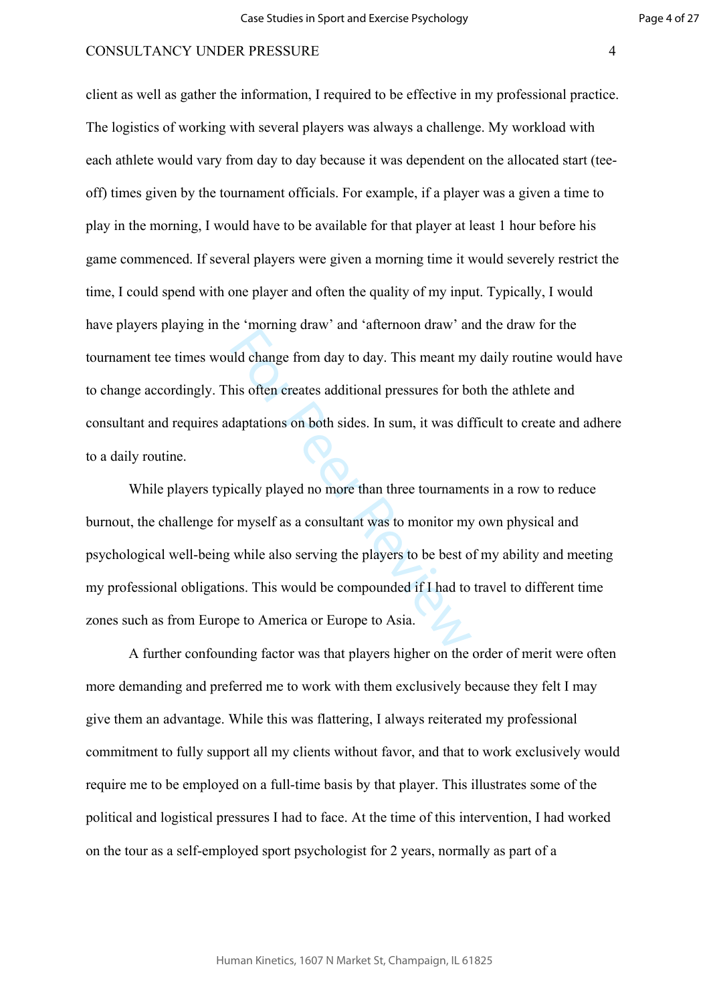client as well as gather the information, I required to be effective in my professional practice. The logistics of working with several players was always a challenge. My workload with each athlete would vary from day to day because it was dependent on the allocated start (teeoff) times given by the tournament officials. For example, if a player was a given a time to play in the morning, I would have to be available for that player at least 1 hour before his game commenced. If several players were given a morning time it would severely restrict the time, I could spend with one player and often the quality of my input. Typically, I would have players playing in the 'morning draw' and 'afternoon draw' and the draw for the tournament tee times would change from day to day. This meant my daily routine would have to change accordingly. This often creates additional pressures for both the athlete and consultant and requires adaptations on both sides. In sum, it was difficult to create and adhere to a daily routine.

Le moning and and anomous and any distributed with the<br>ald change from day to day. This meant my<br>his often creates additional pressures for be<br>daptations on both sides. In sum, it was dif-<br>ically played no more than three While players typically played no more than three tournaments in a row to reduce burnout, the challenge for myself as a consultant was to monitor my own physical and psychological well-being while also serving the players to be best of my ability and meeting my professional obligations. This would be compounded if I had to travel to different time zones such as from Europe to America or Europe to Asia.

A further confounding factor was that players higher on the order of merit were often more demanding and preferred me to work with them exclusively because they felt I may give them an advantage. While this was flattering, I always reiterated my professional commitment to fully support all my clients without favor, and that to work exclusively would require me to be employed on a full-time basis by that player. This illustrates some of the political and logistical pressures I had to face. At the time of this intervention, I had worked on the tour as a self-employed sport psychologist for 2 years, normally as part of a

Human Kinetics, 1607 N Market St, Champaign, IL 61825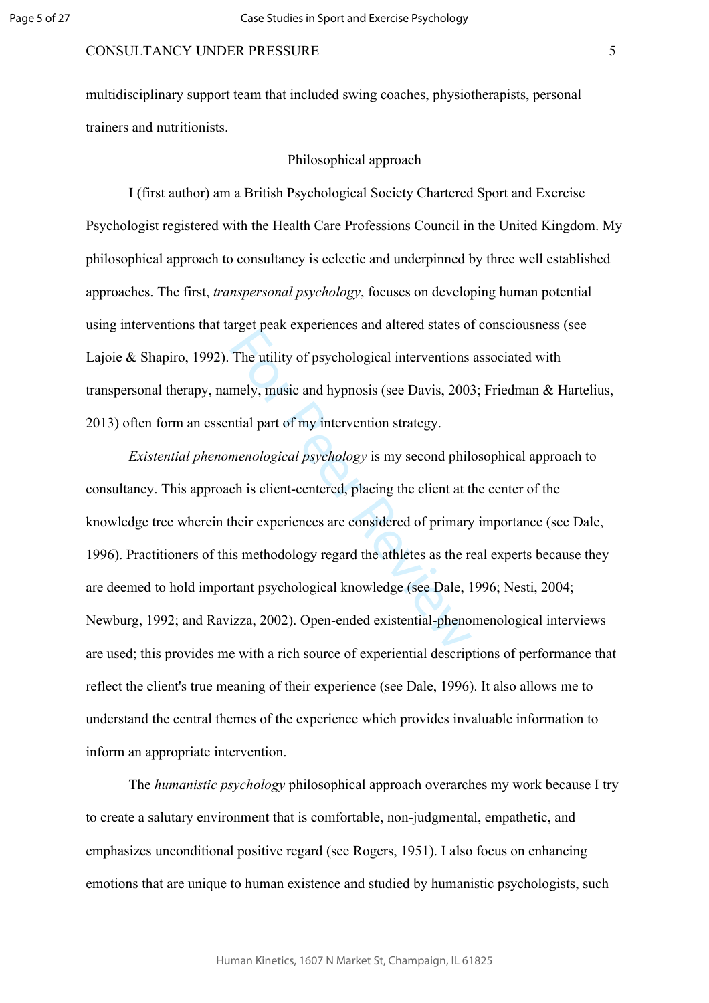multidisciplinary support team that included swing coaches, physiotherapists, personal trainers and nutritionists.

#### Philosophical approach

I (first author) am a British Psychological Society Chartered Sport and Exercise Psychologist registered with the Health Care Professions Council in the United Kingdom. My philosophical approach to consultancy is eclectic and underpinned by three well established approaches. The first, *transpersonal psychology*, focuses on developing human potential using interventions that target peak experiences and altered states of consciousness (see Lajoie & Shapiro, 1992). The utility of psychological interventions associated with transpersonal therapy, namely, music and hypnosis (see Davis, 2003; Friedman & Hartelius, 2013) often form an essential part of my intervention strategy.

The utility of psychological interventions<br>mely, music and hypnosis (see Davis, 200;<br>metal part of my intervention strategy.<br>menological psychology is my second phile<br>ch is client-centered, placing the client at t<br>heir exp *Existential phenomenological psychology* is my second philosophical approach to consultancy. This approach is client-centered, placing the client at the center of the knowledge tree wherein their experiences are considered of primary importance (see Dale, 1996). Practitioners of this methodology regard the athletes as the real experts because they are deemed to hold important psychological knowledge (see Dale, 1996; Nesti, 2004; Newburg, 1992; and Ravizza, 2002). Open-ended existential-phenomenological interviews are used; this provides me with a rich source of experiential descriptions of performance that reflect the client's true meaning of their experience (see Dale, 1996). It also allows me to understand the central themes of the experience which provides invaluable information to inform an appropriate intervention.

The *humanistic psychology* philosophical approach overarches my work because I try to create a salutary environment that is comfortable, non-judgmental, empathetic, and emphasizes unconditional positive regard (see Rogers, 1951). I also focus on enhancing emotions that are unique to human existence and studied by humanistic psychologists, such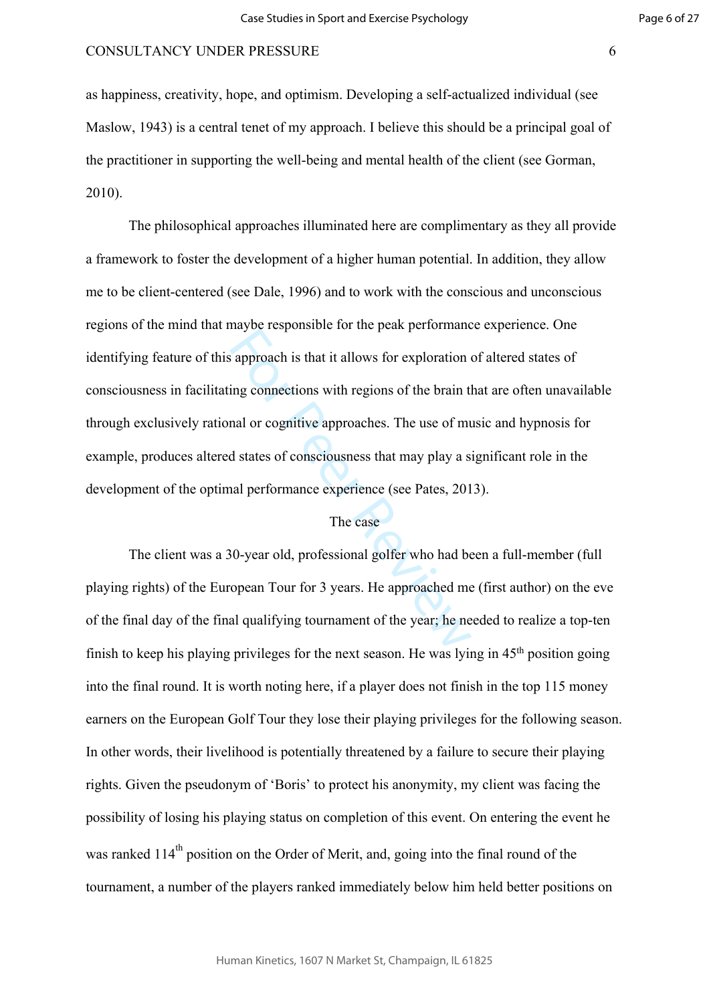as happiness, creativity, hope, and optimism. Developing a self-actualized individual (see Maslow, 1943) is a central tenet of my approach. I believe this should be a principal goal of the practitioner in supporting the well-being and mental health of the client (see Gorman, 2010).

Examples the left and performance<br>approach is that it allows for exploration of<br>ing connections with regions of the brain the<br>nal or cognitive approaches. The use of muddistates of consciousness that may play a s<br>all perfo The philosophical approaches illuminated here are complimentary as they all provide a framework to foster the development of a higher human potential. In addition, they allow me to be client-centered (see Dale, 1996) and to work with the conscious and unconscious regions of the mind that maybe responsible for the peak performance experience. One identifying feature of this approach is that it allows for exploration of altered states of consciousness in facilitating connections with regions of the brain that are often unavailable through exclusively rational or cognitive approaches. The use of music and hypnosis for example, produces altered states of consciousness that may play a significant role in the development of the optimal performance experience (see Pates, 2013).

# The case

The client was a 30-year old, professional golfer who had been a full-member (full playing rights) of the European Tour for 3 years. He approached me (first author) on the eve of the final day of the final qualifying tournament of the year; he needed to realize a top-ten finish to keep his playing privileges for the next season. He was lying in 45th position going into the final round. It is worth noting here, if a player does not finish in the top 115 money earners on the European Golf Tour they lose their playing privileges for the following season. In other words, their livelihood is potentially threatened by a failure to secure their playing rights. Given the pseudonym of 'Boris' to protect his anonymity, my client was facing the possibility of losing his playing status on completion of this event. On entering the event he was ranked  $114<sup>th</sup>$  position on the Order of Merit, and, going into the final round of the tournament, a number of the players ranked immediately below him held better positions on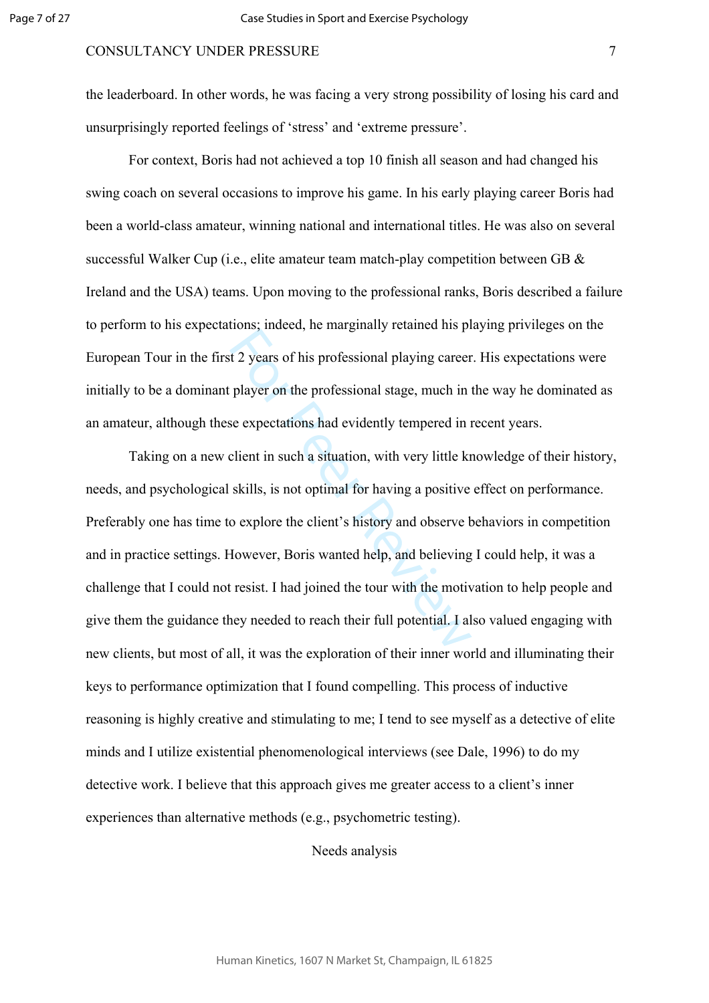the leaderboard. In other words, he was facing a very strong possibility of losing his card and unsurprisingly reported feelings of 'stress' and 'extreme pressure'.

For context, Boris had not achieved a top 10 finish all season and had changed his swing coach on several occasions to improve his game. In his early playing career Boris had been a world-class amateur, winning national and international titles. He was also on several successful Walker Cup (i.e., elite amateur team match-play competition between GB & Ireland and the USA) teams. Upon moving to the professional ranks, Boris described a failure to perform to his expectations; indeed, he marginally retained his playing privileges on the European Tour in the first 2 years of his professional playing career. His expectations were initially to be a dominant player on the professional stage, much in the way he dominated as an amateur, although these expectations had evidently tempered in recent years.

For Presence, the marginary columns in Fig. 25 years of his professional playing career<br>player on the professional stage, much in<br>se expectations had evidently tempered in i<br>client in such a situation, with very little kr<br> Taking on a new client in such a situation, with very little knowledge of their history, needs, and psychological skills, is not optimal for having a positive effect on performance. Preferably one has time to explore the client's history and observe behaviors in competition and in practice settings. However, Boris wanted help, and believing I could help, it was a challenge that I could not resist. I had joined the tour with the motivation to help people and give them the guidance they needed to reach their full potential. I also valued engaging with new clients, but most of all, it was the exploration of their inner world and illuminating their keys to performance optimization that I found compelling. This process of inductive reasoning is highly creative and stimulating to me; I tend to see myself as a detective of elite minds and I utilize existential phenomenological interviews (see Dale, 1996) to do my detective work. I believe that this approach gives me greater access to a client's inner experiences than alternative methods (e.g., psychometric testing).

Needs analysis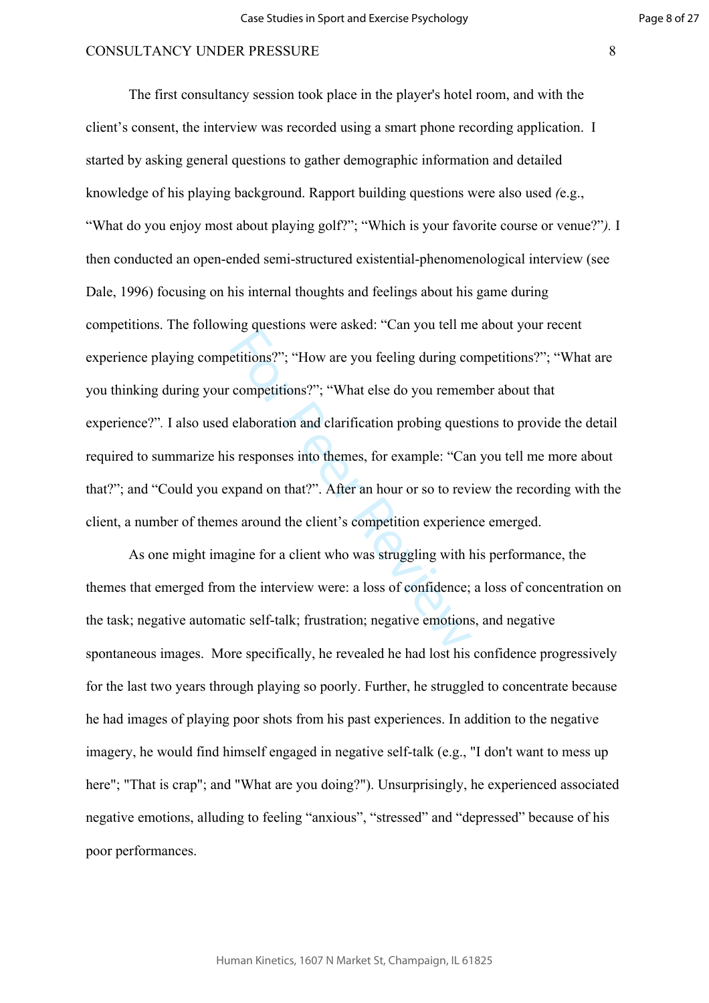ing questions were usited. Can you and in<br>etitions?"; "What else do you remem<br>elaboration and clarification probing quess<br>s responses into themes, for example: "Can<br>xpand on that?". After an hour or so to rev.<br>s around the The first consultancy session took place in the player's hotel room, and with the client's consent, the interview was recorded using a smart phone recording application. I started by asking general questions to gather demographic information and detailed knowledge of his playing background. Rapport building questions were also used *(*e.g., "What do you enjoy most about playing golf?"; "Which is your favorite course or venue?"*).* I then conducted an open-ended semi-structured existential-phenomenological interview (see Dale, 1996) focusing on his internal thoughts and feelings about his game during competitions. The following questions were asked: "Can you tell me about your recent experience playing competitions?"; "How are you feeling during competitions?"; "What are you thinking during your competitions?"; "What else do you remember about that experience?"*.* I also used elaboration and clarification probing questions to provide the detail required to summarize his responses into themes, for example: "Can you tell me more about that?"; and "Could you expand on that?". After an hour or so to review the recording with the client, a number of themes around the client's competition experience emerged.

As one might imagine for a client who was struggling with his performance, the themes that emerged from the interview were: a loss of confidence; a loss of concentration on the task; negative automatic self-talk; frustration; negative emotions, and negative spontaneous images. More specifically, he revealed he had lost his confidence progressively for the last two years through playing so poorly. Further, he struggled to concentrate because he had images of playing poor shots from his past experiences. In addition to the negative imagery, he would find himself engaged in negative self-talk (e.g., "I don't want to mess up here"; "That is crap"; and "What are you doing?"). Unsurprisingly, he experienced associated negative emotions, alluding to feeling "anxious", "stressed" and "depressed" because of his poor performances.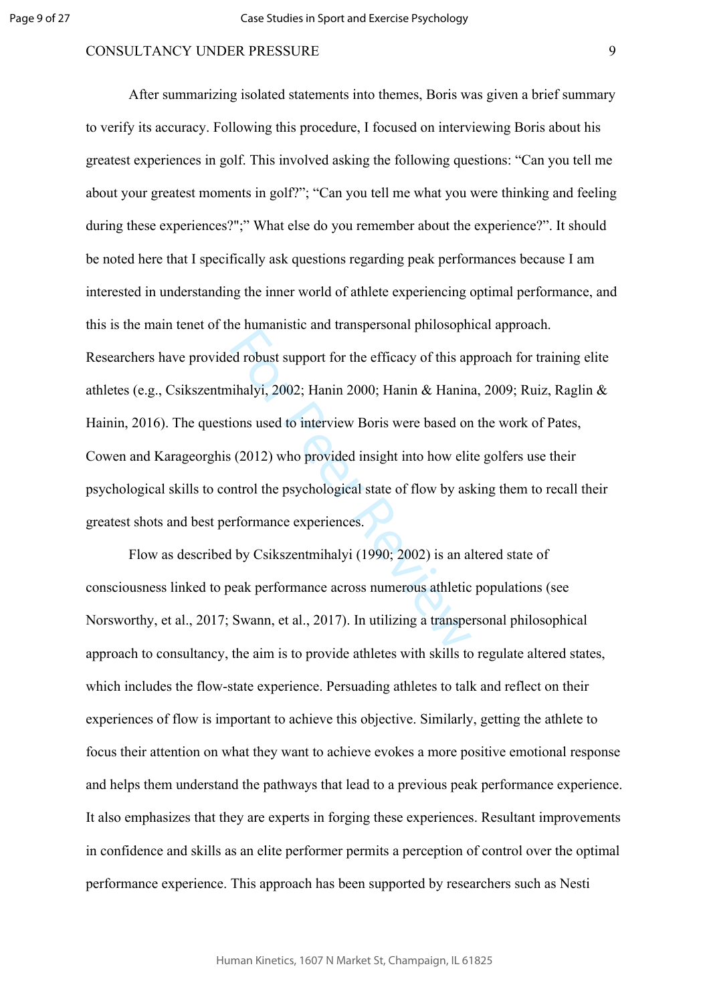E nanamone and analysischair pincesspin<br>ed robust support for the efficacy of this ap<br>iihalyi, 2002; Hanin 2000; Hanin & Hanini<br>ions used to interview Boris were based on<br>(2012) who provided insight into how elit<br>ntrol the After summarizing isolated statements into themes, Boris was given a brief summary to verify its accuracy. Following this procedure, I focused on interviewing Boris about his greatest experiences in golf. This involved asking the following questions: "Can you tell me about your greatest moments in golf?"; "Can you tell me what you were thinking and feeling during these experiences?";" What else do you remember about the experience?". It should be noted here that I specifically ask questions regarding peak performances because I am interested in understanding the inner world of athlete experiencing optimal performance, and this is the main tenet of the humanistic and transpersonal philosophical approach. Researchers have provided robust support for the efficacy of this approach for training elite athletes (e.g., Csikszentmihalyi, 2002; Hanin 2000; Hanin & Hanina, 2009; Ruiz, Raglin & Hainin, 2016). The questions used to interview Boris were based on the work of Pates, Cowen and Karageorghis (2012) who provided insight into how elite golfers use their psychological skills to control the psychological state of flow by asking them to recall their greatest shots and best performance experiences.

Flow as described by Csikszentmihalyi (1990; 2002) is an altered state of consciousness linked to peak performance across numerous athletic populations (see Norsworthy, et al., 2017; Swann, et al., 2017). In utilizing a transpersonal philosophical approach to consultancy, the aim is to provide athletes with skills to regulate altered states, which includes the flow-state experience. Persuading athletes to talk and reflect on their experiences of flow is important to achieve this objective. Similarly, getting the athlete to focus their attention on what they want to achieve evokes a more positive emotional response and helps them understand the pathways that lead to a previous peak performance experience. It also emphasizes that they are experts in forging these experiences. Resultant improvements in confidence and skills as an elite performer permits a perception of control over the optimal performance experience. This approach has been supported by researchers such as Nesti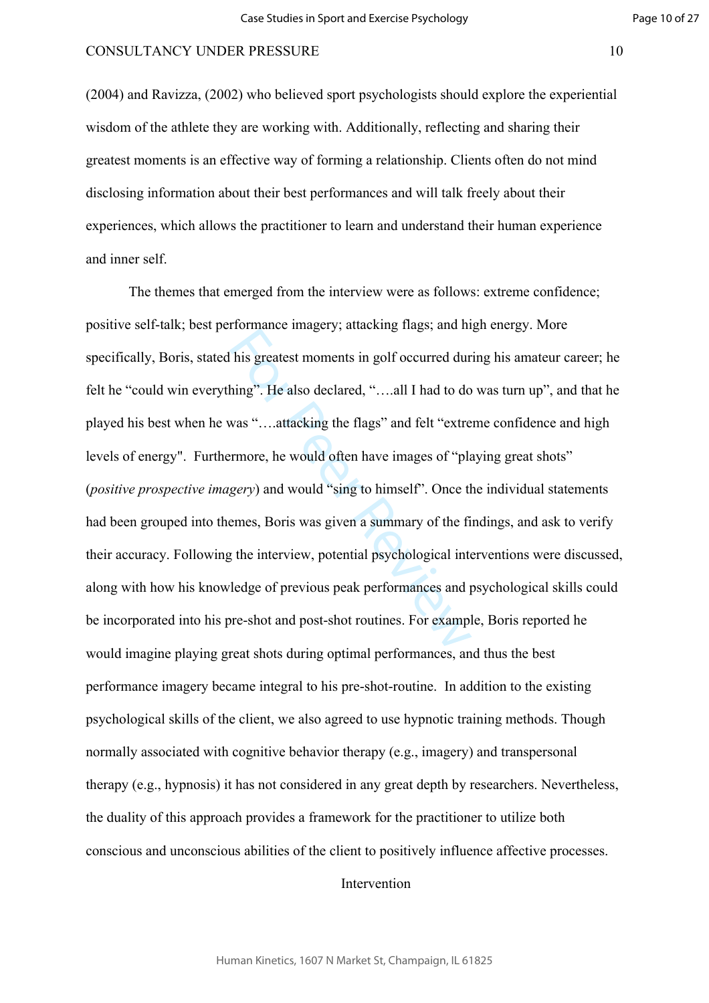(2004) and Ravizza, (2002) who believed sport psychologists should explore the experiential wisdom of the athlete they are working with. Additionally, reflecting and sharing their greatest moments is an effective way of forming a relationship. Clients often do not mind disclosing information about their best performances and will talk freely about their experiences, which allows the practitioner to learn and understand their human experience and inner self.

Thermance magery, and any progress, and in<br>his greatest moments in golf occurred dur<br>hing". He also declared, "....all I had to do<br>was "....attacking the flags" and felt "extre<br>rmore, he would often have images of "pla<br>ger The themes that emerged from the interview were as follows: extreme confidence; positive self-talk; best performance imagery; attacking flags; and high energy. More specifically, Boris, stated his greatest moments in golf occurred during his amateur career; he felt he "could win everything". He also declared, "….all I had to do was turn up", and that he played his best when he was "….attacking the flags" and felt "extreme confidence and high levels of energy". Furthermore, he would often have images of "playing great shots" (*positive prospective imagery*) and would "sing to himself". Once the individual statements had been grouped into themes, Boris was given a summary of the findings, and ask to verify their accuracy. Following the interview, potential psychological interventions were discussed, along with how his knowledge of previous peak performances and psychological skills could be incorporated into his pre-shot and post-shot routines. For example, Boris reported he would imagine playing great shots during optimal performances, and thus the best performance imagery became integral to his pre-shot-routine. In addition to the existing psychological skills of the client, we also agreed to use hypnotic training methods. Though normally associated with cognitive behavior therapy (e.g., imagery) and transpersonal therapy (e.g., hypnosis) it has not considered in any great depth by researchers. Nevertheless, the duality of this approach provides a framework for the practitioner to utilize both conscious and unconscious abilities of the client to positively influence affective processes.

Intervention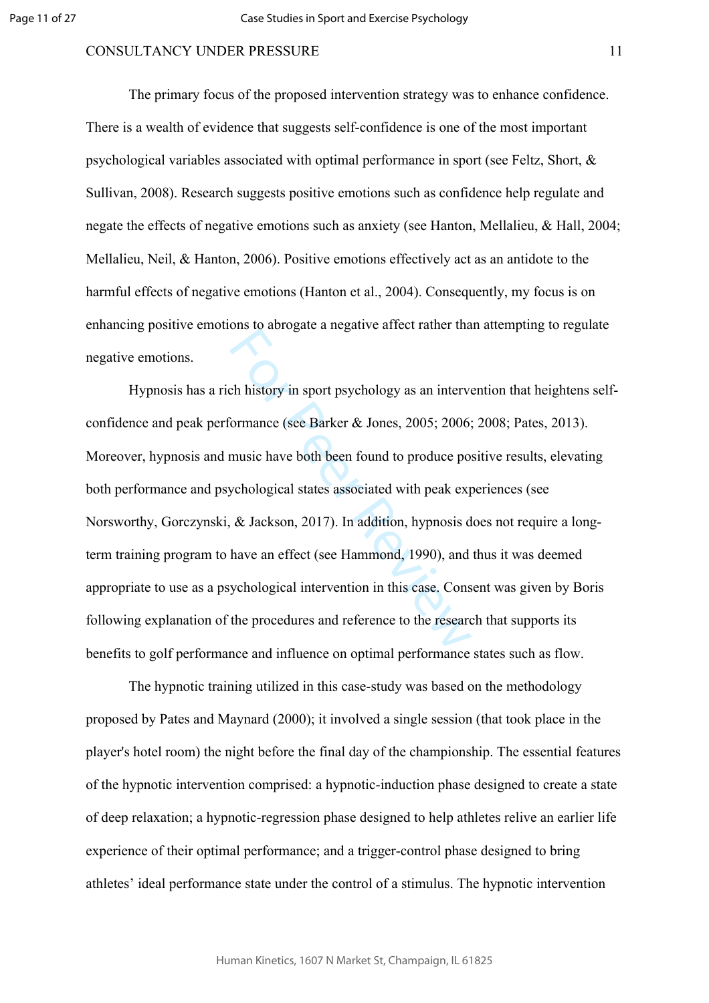The primary focus of the proposed intervention strategy was to enhance confidence. There is a wealth of evidence that suggests self-confidence is one of the most important psychological variables associated with optimal performance in sport (see Feltz, Short, & Sullivan, 2008). Research suggests positive emotions such as confidence help regulate and negate the effects of negative emotions such as anxiety (see Hanton, Mellalieu, & Hall, 2004; Mellalieu, Neil, & Hanton, 2006). Positive emotions effectively act as an antidote to the harmful effects of negative emotions (Hanton et al., 2004). Consequently, my focus is on enhancing positive emotions to abrogate a negative affect rather than attempting to regulate negative emotions.

on a distigate a negative antest rather and<br>
commance (see Barker & Jones, 2005; 2006;<br>
music have both been found to produce po<br>
ychological states associated with peak exp<br>
& Jackson, 2017). In addition, hypnosis d<br>
have Hypnosis has a rich history in sport psychology as an intervention that heightens selfconfidence and peak performance (see Barker & Jones, 2005; 2006; 2008; Pates, 2013). Moreover, hypnosis and music have both been found to produce positive results, elevating both performance and psychological states associated with peak experiences (see Norsworthy, Gorczynski, & Jackson, 2017). In addition, hypnosis does not require a longterm training program to have an effect (see Hammond, 1990), and thus it was deemed appropriate to use as a psychological intervention in this case. Consent was given by Boris following explanation of the procedures and reference to the research that supports its benefits to golf performance and influence on optimal performance states such as flow.

The hypnotic training utilized in this case-study was based on the methodology proposed by Pates and Maynard (2000); it involved a single session (that took place in the player's hotel room) the night before the final day of the championship. The essential features of the hypnotic intervention comprised: a hypnotic-induction phase designed to create a state of deep relaxation; a hypnotic-regression phase designed to help athletes relive an earlier life experience of their optimal performance; and a trigger-control phase designed to bring athletes' ideal performance state under the control of a stimulus. The hypnotic intervention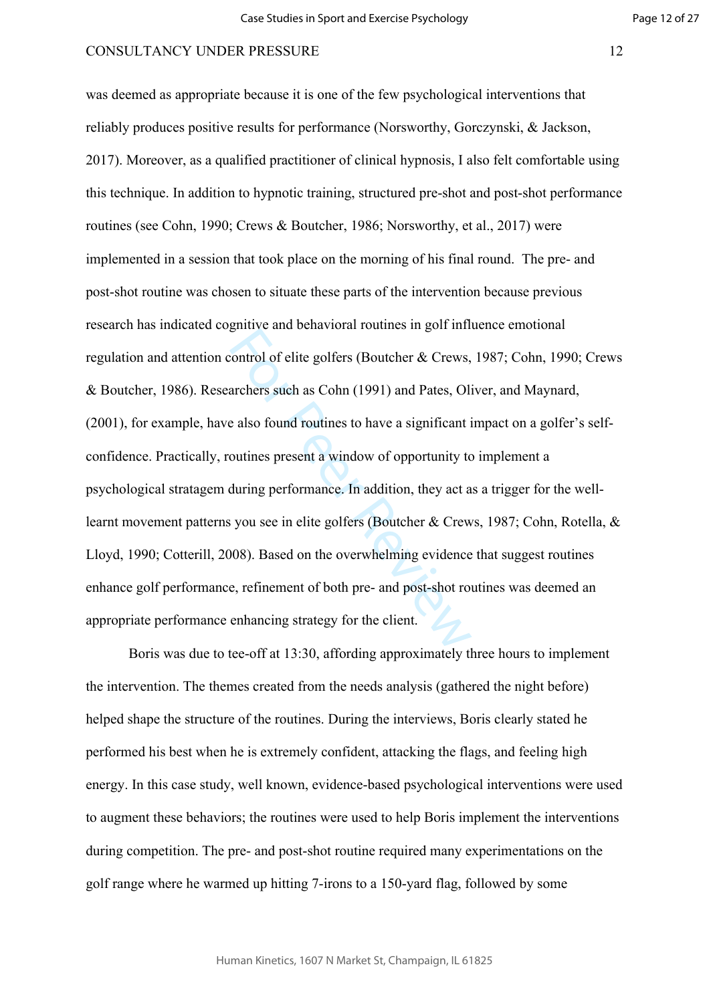For Persons and Schwartzen Founder in general<br>control of elite golfers (Boutcher & Crews,<br>archers such as Cohn (1991) and Pates, Oli<br>e also found routines to have a significant is<br>outines present a window of opportunity t was deemed as appropriate because it is one of the few psychological interventions that reliably produces positive results for performance (Norsworthy, Gorczynski, & Jackson, 2017). Moreover, as a qualified practitioner of clinical hypnosis, I also felt comfortable using this technique. In addition to hypnotic training, structured pre-shot and post-shot performance routines (see Cohn, 1990; Crews & Boutcher, 1986; Norsworthy, et al., 2017) were implemented in a session that took place on the morning of his final round. The pre- and post-shot routine was chosen to situate these parts of the intervention because previous research has indicated cognitive and behavioral routines in golf influence emotional regulation and attention control of elite golfers (Boutcher & Crews, 1987; Cohn, 1990; Crews & Boutcher, 1986). Researchers such as Cohn (1991) and Pates, Oliver, and Maynard, (2001), for example, have also found routines to have a significant impact on a golfer's selfconfidence. Practically, routines present a window of opportunity to implement a psychological stratagem during performance. In addition, they act as a trigger for the welllearnt movement patterns you see in elite golfers (Boutcher & Crews, 1987; Cohn, Rotella, & Lloyd, 1990; Cotterill, 2008). Based on the overwhelming evidence that suggest routines enhance golf performance, refinement of both pre- and post-shot routines was deemed an appropriate performance enhancing strategy for the client.

Boris was due to tee-off at 13:30, affording approximately three hours to implement the intervention. The themes created from the needs analysis (gathered the night before) helped shape the structure of the routines. During the interviews, Boris clearly stated he performed his best when he is extremely confident, attacking the flags, and feeling high energy. In this case study, well known, evidence-based psychological interventions were used to augment these behaviors; the routines were used to help Boris implement the interventions during competition. The pre- and post-shot routine required many experimentations on the golf range where he warmed up hitting 7-irons to a 150-yard flag, followed by some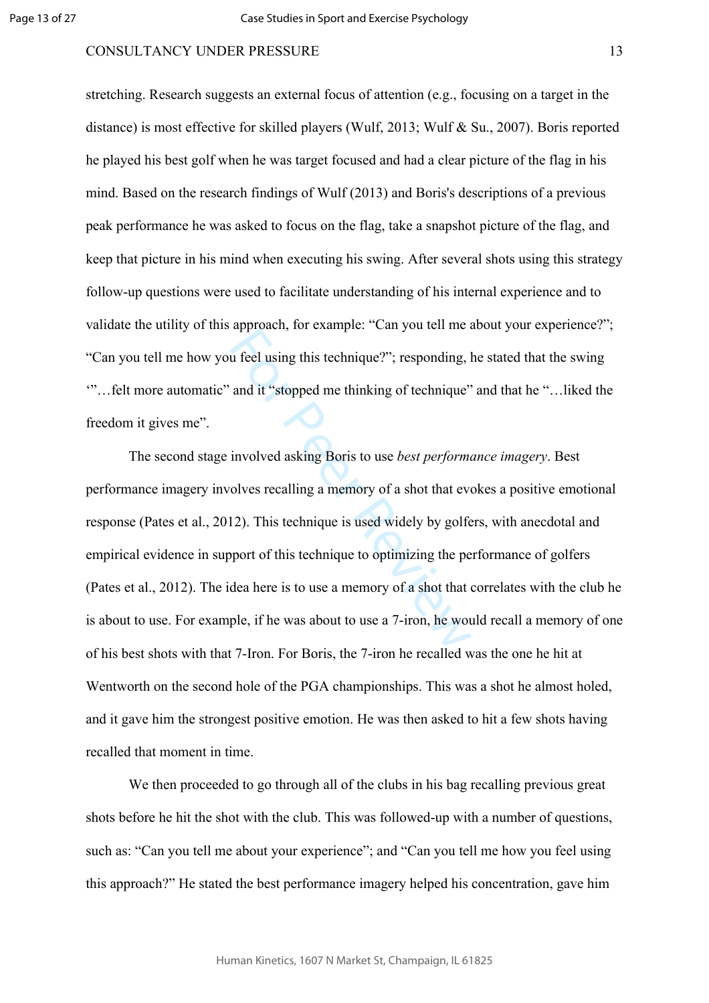stretching. Research suggests an external focus of attention (e.g., focusing on a target in the distance) is most effective for skilled players (Wulf, 2013; Wulf & Su., 2007). Boris reported he played his best golf when he was target focused and had a clear picture of the flag in his mind. Based on the research findings of Wulf (2013) and Boris's descriptions of a previous peak performance he was asked to focus on the flag, take a snapshot picture of the flag, and keep that picture in his mind when executing his swing. After several shots using this strategy follow-up questions were used to facilitate understanding of his internal experience and to validate the utility of this approach, for example: "Can you tell me about your experience?"; "Can you tell me how you feel using this technique?"; responding, he stated that the swing '"…felt more automatic" and it "stopped me thinking of technique" and that he "…liked the freedom it gives me".

u feel using this technique?"; responding, l<br>and it "stopped me thinking of technique"<br>involved asking Boris to use *best performe*<br>olves recalling a memory of a shot that eve<br>12). This technique is used widely by golfe<br>op The second stage involved asking Boris to use *best performance imagery*. Best performance imagery involves recalling a memory of a shot that evokes a positive emotional response (Pates et al., 2012). This technique is used widely by golfers, with anecdotal and empirical evidence in support of this technique to optimizing the performance of golfers (Pates et al., 2012). The idea here is to use a memory of a shot that correlates with the club he is about to use. For example, if he was about to use a 7-iron, he would recall a memory of one of his best shots with that 7-Iron. For Boris, the 7-iron he recalled was the one he hit at Wentworth on the second hole of the PGA championships. This was a shot he almost holed, and it gave him the strongest positive emotion. He was then asked to hit a few shots having recalled that moment in time.

We then proceeded to go through all of the clubs in his bag recalling previous great shots before he hit the shot with the club. This was followed-up with a number of questions, such as: "Can you tell me about your experience"; and "Can you tell me how you feel using this approach?" He stated the best performance imagery helped his concentration, gave him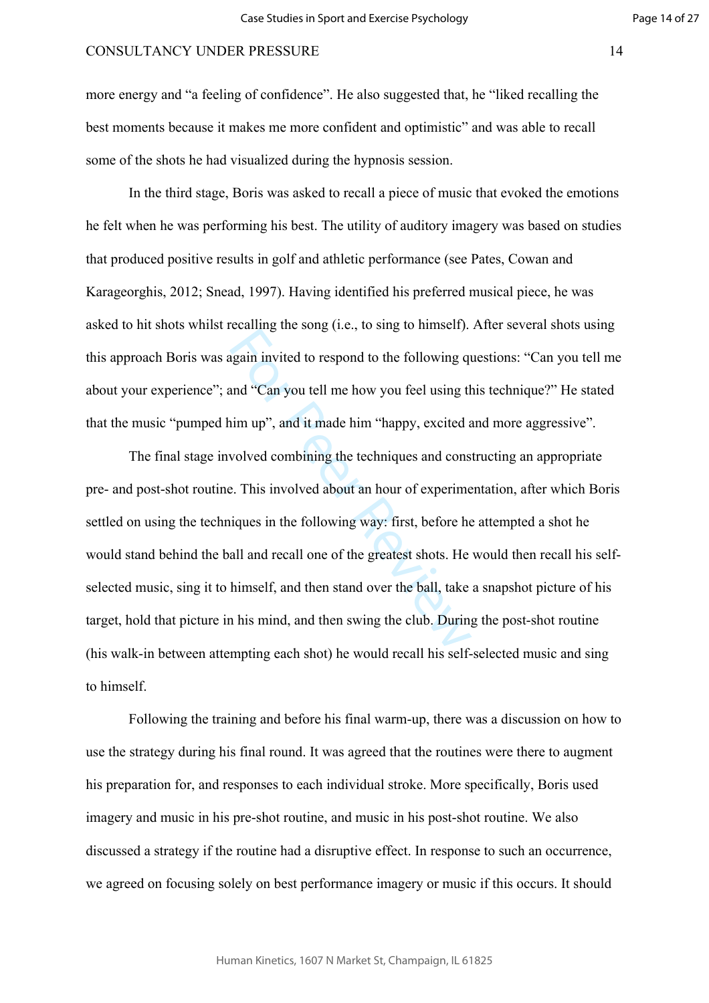more energy and "a feeling of confidence". He also suggested that, he "liked recalling the best moments because it makes me more confident and optimistic" and was able to recall some of the shots he had visualized during the hypnosis session.

In the third stage, Boris was asked to recall a piece of music that evoked the emotions he felt when he was performing his best. The utility of auditory imagery was based on studies that produced positive results in golf and athletic performance (see Pates, Cowan and Karageorghis, 2012; Snead, 1997). Having identified his preferred musical piece, he was asked to hit shots whilst recalling the song (i.e., to sing to himself). After several shots using this approach Boris was again invited to respond to the following questions: "Can you tell me about your experience"; and "Can you tell me how you feel using this technique?" He stated that the music "pumped him up", and it made him "happy, excited and more aggressive".

beaming the song (i.e., to sing te inniberi).<br>In again invited to respond to the following quand "Can you tell me how you feel using the<br>im up", and it made him "happy, excited a<br>wolved combining the techniques and cons<br>e. The final stage involved combining the techniques and constructing an appropriate pre- and post-shot routine. This involved about an hour of experimentation, after which Boris settled on using the techniques in the following way: first, before he attempted a shot he would stand behind the ball and recall one of the greatest shots. He would then recall his selfselected music, sing it to himself, and then stand over the ball, take a snapshot picture of his target, hold that picture in his mind, and then swing the club. During the post-shot routine (his walk-in between attempting each shot) he would recall his self-selected music and sing to himself.

Following the training and before his final warm-up, there was a discussion on how to use the strategy during his final round. It was agreed that the routines were there to augment his preparation for, and responses to each individual stroke. More specifically, Boris used imagery and music in his pre-shot routine, and music in his post-shot routine. We also discussed a strategy if the routine had a disruptive effect. In response to such an occurrence, we agreed on focusing solely on best performance imagery or music if this occurs. It should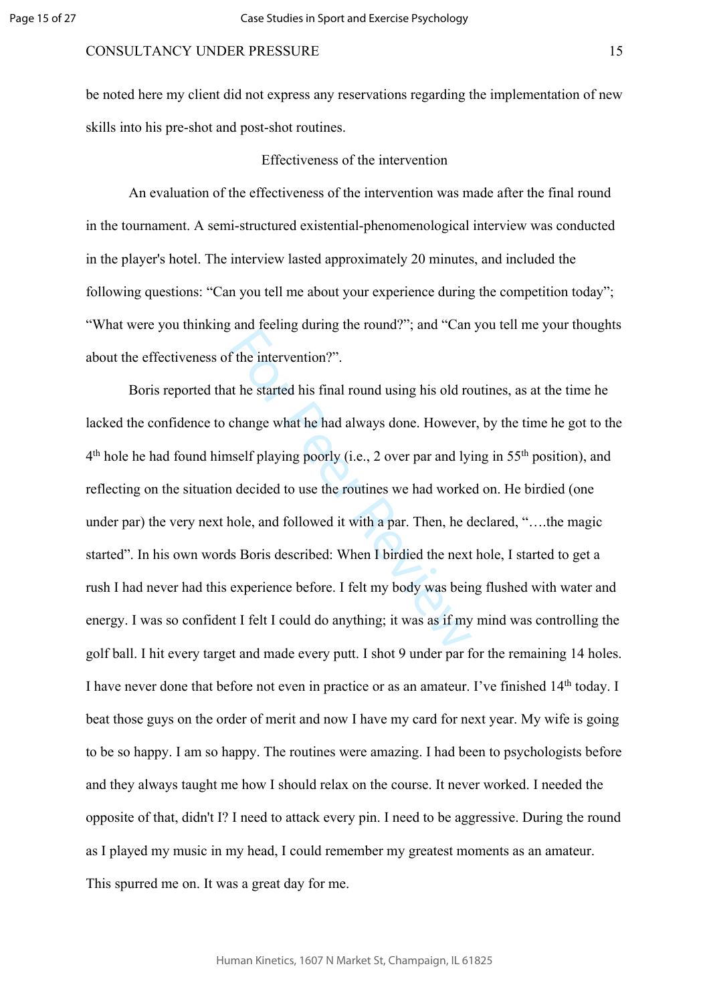be noted here my client did not express any reservations regarding the implementation of new skills into his pre-shot and post-shot routines.

#### Effectiveness of the intervention

An evaluation of the effectiveness of the intervention was made after the final round in the tournament. A semi-structured existential-phenomenological interview was conducted in the player's hotel. The interview lasted approximately 20 minutes, and included the following questions: "Can you tell me about your experience during the competition today"; "What were you thinking and feeling during the round?"; and "Can you tell me your thoughts about the effectiveness of the intervention?".

the intervention?".<br>
It he started his final round using his old ro<br>
change what he had always done. However<br>
uself playing poorly (i.e., 2 over par and lyi<br>
a decided to use the routines we had worke<br>
nole, and followed i Boris reported that he started his final round using his old routines, as at the time he lacked the confidence to change what he had always done. However, by the time he got to the 4<sup>th</sup> hole he had found himself playing poorly (i.e., 2 over par and lying in 55<sup>th</sup> position), and reflecting on the situation decided to use the routines we had worked on. He birdied (one under par) the very next hole, and followed it with a par. Then, he declared, "..., the magic started". In his own words Boris described: When I birdied the next hole, I started to get a rush I had never had this experience before. I felt my body was being flushed with water and energy. I was so confident I felt I could do anything; it was as if my mind was controlling the golf ball. I hit every target and made every putt. I shot 9 under par for the remaining 14 holes. I have never done that before not even in practice or as an amateur. I've finished 14th today. I beat those guys on the order of merit and now I have my card for next year. My wife is going to be so happy. I am so happy. The routines were amazing. I had been to psychologists before and they always taught me how I should relax on the course. It never worked. I needed the opposite of that, didn't I? I need to attack every pin. I need to be aggressive. During the round as I played my music in my head, I could remember my greatest moments as an amateur. This spurred me on. It was a great day for me.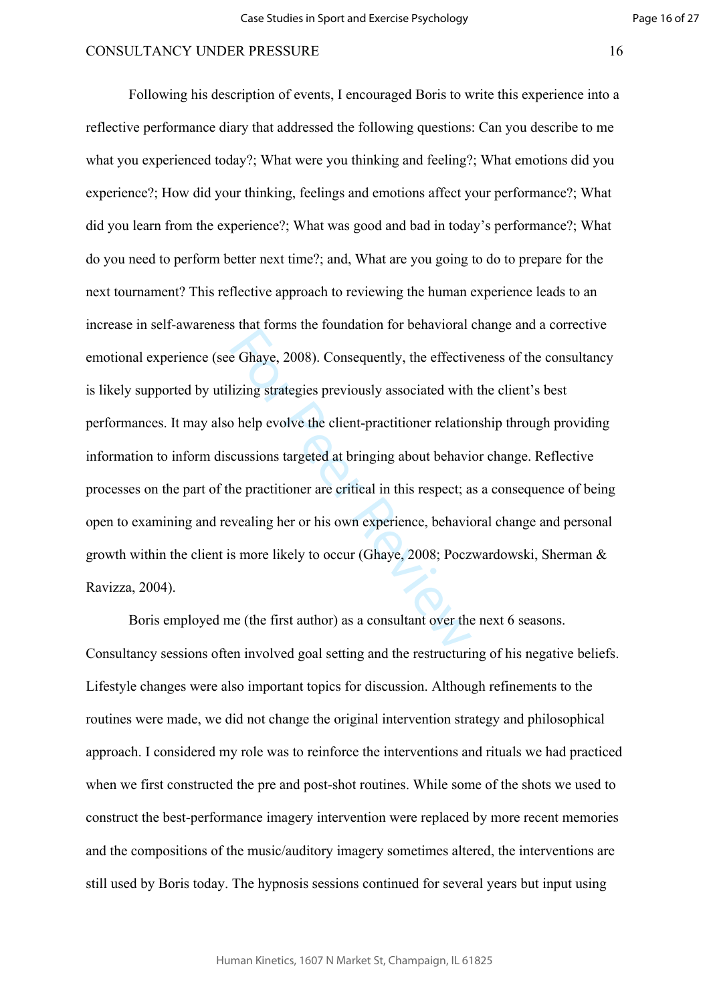Example 18 Demanded 1 of Scharlotar<br>
Example 18 Demanded 1 of Scharlotar<br>
Example 18 Demanded with<br>
Delp evolve the client-practitioner relation<br>
cussions targeted at bringing about behavi<br>
the practitioner are critical in Following his description of events, I encouraged Boris to write this experience into a reflective performance diary that addressed the following questions: Can you describe to me what you experienced today?; What were you thinking and feeling?; What emotions did you experience?; How did your thinking, feelings and emotions affect your performance?; What did you learn from the experience?; What was good and bad in today's performance?; What do you need to perform better next time?; and, What are you going to do to prepare for the next tournament? This reflective approach to reviewing the human experience leads to an increase in self-awareness that forms the foundation for behavioral change and a corrective emotional experience (see Ghaye, 2008). Consequently, the effectiveness of the consultancy is likely supported by utilizing strategies previously associated with the client's best performances. It may also help evolve the client-practitioner relationship through providing information to inform discussions targeted at bringing about behavior change. Reflective processes on the part of the practitioner are critical in this respect; as a consequence of being open to examining and revealing her or his own experience, behavioral change and personal growth within the client is more likely to occur (Ghaye, 2008; Poczwardowski, Sherman & Ravizza, 2004).

Boris employed me (the first author) as a consultant over the next 6 seasons. Consultancy sessions often involved goal setting and the restructuring of his negative beliefs. Lifestyle changes were also important topics for discussion. Although refinements to the routines were made, we did not change the original intervention strategy and philosophical approach. I considered my role was to reinforce the interventions and rituals we had practiced when we first constructed the pre and post-shot routines. While some of the shots we used to construct the best-performance imagery intervention were replaced by more recent memories and the compositions of the music/auditory imagery sometimes altered, the interventions are still used by Boris today. The hypnosis sessions continued for several years but input using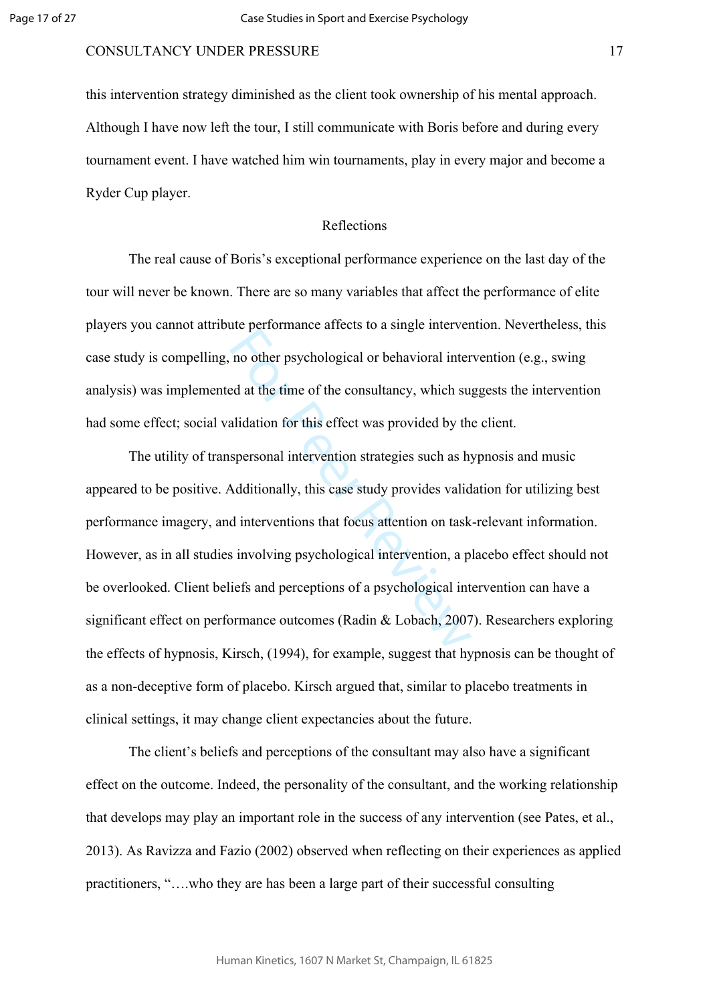this intervention strategy diminished as the client took ownership of his mental approach. Although I have now left the tour, I still communicate with Boris before and during every tournament event. I have watched him win tournaments, play in every major and become a Ryder Cup player.

### Reflections

The real cause of Boris's exceptional performance experience on the last day of the tour will never be known. There are so many variables that affect the performance of elite players you cannot attribute performance affects to a single intervention. Nevertheless, this case study is compelling, no other psychological or behavioral intervention (e.g., swing analysis) was implemented at the time of the consultancy, which suggests the intervention had some effect; social validation for this effect was provided by the client.

no other psychological or behavioral inter-<br>no other psychological or behavioral inter-<br>ed at the time of the consultancy, which sualidation for this effect was provided by the<br>spersonal intervention strategies such as hy-The utility of transpersonal intervention strategies such as hypnosis and music appeared to be positive. Additionally, this case study provides validation for utilizing best performance imagery, and interventions that focus attention on task-relevant information. However, as in all studies involving psychological intervention, a placebo effect should not be overlooked. Client beliefs and perceptions of a psychological intervention can have a significant effect on performance outcomes (Radin & Lobach, 2007). Researchers exploring the effects of hypnosis, Kirsch, (1994), for example, suggest that hypnosis can be thought of as a non-deceptive form of placebo. Kirsch argued that, similar to placebo treatments in clinical settings, it may change client expectancies about the future.

The client's beliefs and perceptions of the consultant may also have a significant effect on the outcome. Indeed, the personality of the consultant, and the working relationship that develops may play an important role in the success of any intervention (see Pates, et al., 2013). As Ravizza and Fazio (2002) observed when reflecting on their experiences as applied practitioners, "….who they are has been a large part of their successful consulting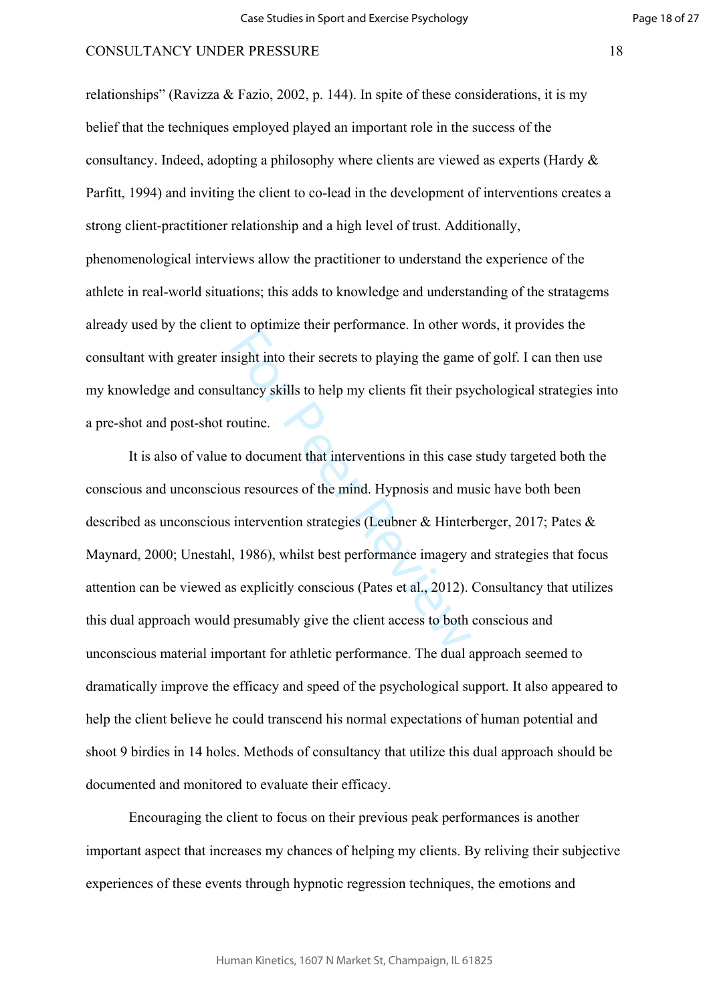relationships" (Ravizza & Fazio, 2002, p. 144). In spite of these considerations, it is my belief that the techniques employed played an important role in the success of the consultancy. Indeed, adopting a philosophy where clients are viewed as experts (Hardy & Parfitt, 1994) and inviting the client to co-lead in the development of interventions creates a strong client-practitioner relationship and a high level of trust. Additionally, phenomenological interviews allow the practitioner to understand the experience of the athlete in real-world situations; this adds to knowledge and understanding of the stratagems already used by the client to optimize their performance. In other words, it provides the consultant with greater insight into their secrets to playing the game of golf. I can then use my knowledge and consultancy skills to help my clients fit their psychological strategies into a pre-shot and post-shot routine.

isight into their secrets to playing the game<br>Iltancy skills to help my clients fit their psy-<br>outine.<br>to document that interventions in this case<br>us resources of the mind. Hypnosis and mu<br>intervention strategies (Leubner It is also of value to document that interventions in this case study targeted both the conscious and unconscious resources of the mind. Hypnosis and music have both been described as unconscious intervention strategies (Leubner & Hinterberger, 2017; Pates & Maynard, 2000; Unestahl, 1986), whilst best performance imagery and strategies that focus attention can be viewed as explicitly conscious (Pates et al., 2012). Consultancy that utilizes this dual approach would presumably give the client access to both conscious and unconscious material important for athletic performance. The dual approach seemed to dramatically improve the efficacy and speed of the psychological support. It also appeared to help the client believe he could transcend his normal expectations of human potential and shoot 9 birdies in 14 holes. Methods of consultancy that utilize this dual approach should be documented and monitored to evaluate their efficacy.

Encouraging the client to focus on their previous peak performances is another important aspect that increases my chances of helping my clients. By reliving their subjective experiences of these events through hypnotic regression techniques, the emotions and

Human Kinetics, 1607 N Market St, Champaign, IL 61825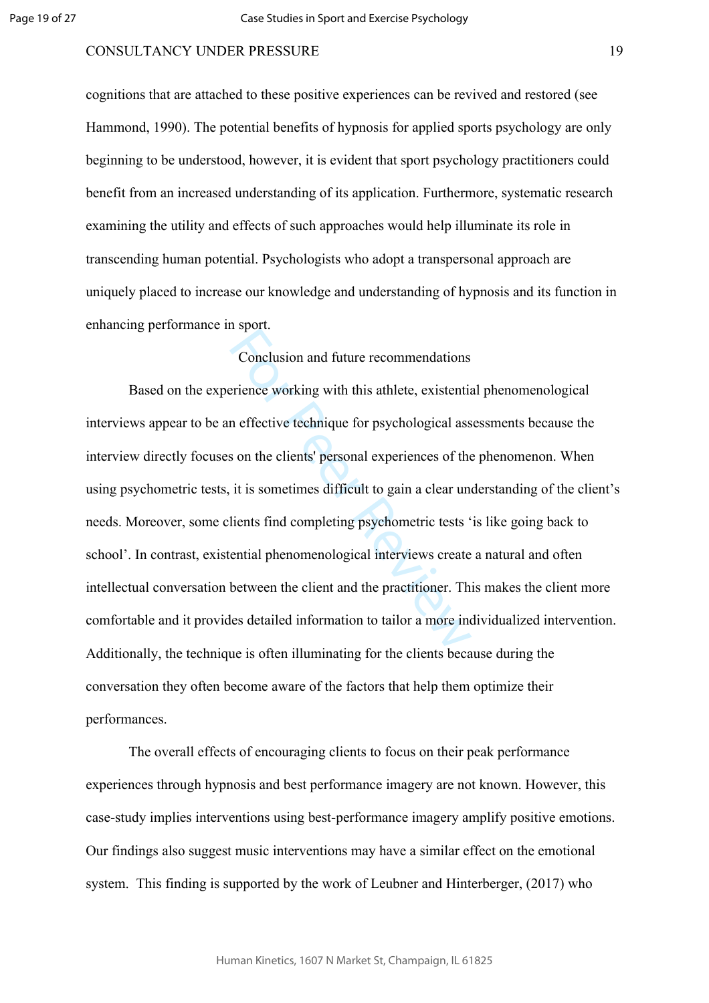cognitions that are attached to these positive experiences can be revived and restored (see Hammond, 1990). The potential benefits of hypnosis for applied sports psychology are only beginning to be understood, however, it is evident that sport psychology practitioners could benefit from an increased understanding of its application. Furthermore, systematic research examining the utility and effects of such approaches would help illuminate its role in transcending human potential. Psychologists who adopt a transpersonal approach are uniquely placed to increase our knowledge and understanding of hypnosis and its function in enhancing performance in sport.

## Conclusion and future recommendations

Conclusion and future recommendations<br>
rience working with this athlete, existentia<br>
n effective technique for psychological ass<br>
s on the clients' personal experiences of the<br>
it is sometimes difficult to gain a clear un<br> Based on the experience working with this athlete, existential phenomenological interviews appear to be an effective technique for psychological assessments because the interview directly focuses on the clients' personal experiences of the phenomenon. When using psychometric tests, it is sometimes difficult to gain a clear understanding of the client's needs. Moreover, some clients find completing psychometric tests 'is like going back to school'. In contrast, existential phenomenological interviews create a natural and often intellectual conversation between the client and the practitioner. This makes the client more comfortable and it provides detailed information to tailor a more individualized intervention. Additionally, the technique is often illuminating for the clients because during the conversation they often become aware of the factors that help them optimize their performances.

The overall effects of encouraging clients to focus on their peak performance experiences through hypnosis and best performance imagery are not known. However, this case-study implies interventions using best-performance imagery amplify positive emotions. Our findings also suggest music interventions may have a similar effect on the emotional system. This finding is supported by the work of Leubner and Hinterberger, (2017) who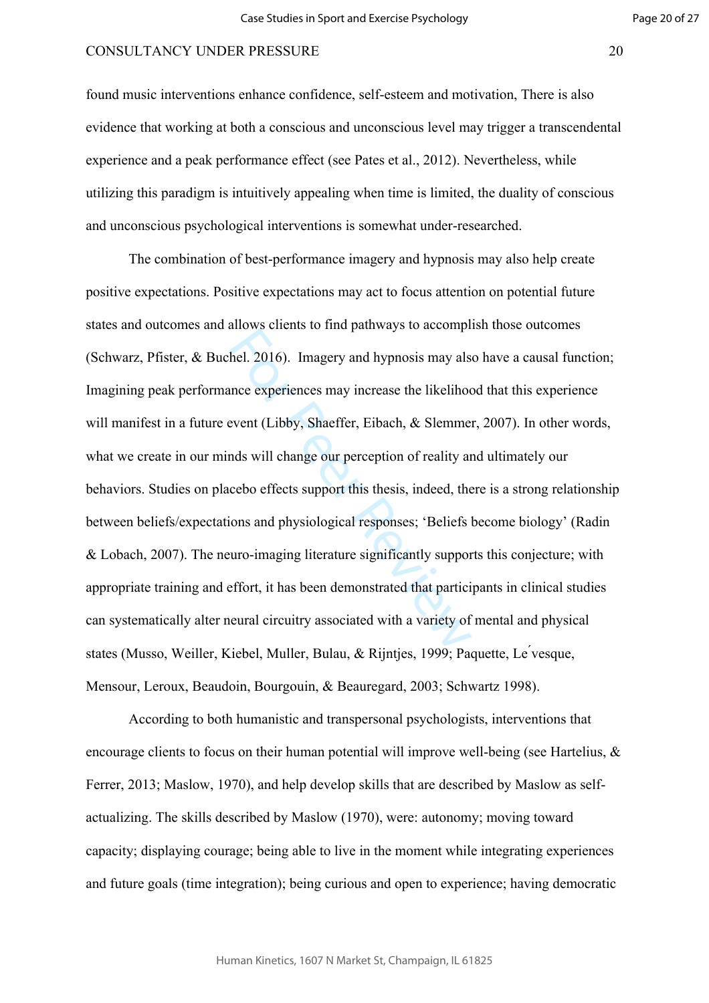found music interventions enhance confidence, self-esteem and motivation, There is also evidence that working at both a conscious and unconscious level may trigger a transcendental experience and a peak performance effect (see Pates et al., 2012). Nevertheless, while utilizing this paradigm is intuitively appealing when time is limited, the duality of conscious and unconscious psychological interventions is somewhat under-researched.

thel. 2016). Imagery and hypnosis may als<br>nece experiences may increase the likelihoo<br>event (Libby, Shaeffer, Eibach, & Slemme<br>nds will change our perception of reality at<br>cebo effects support this thesis, indeed, the<br>ons The combination of best-performance imagery and hypnosis may also help create positive expectations. Positive expectations may act to focus attention on potential future states and outcomes and allows clients to find pathways to accomplish those outcomes (Schwarz, Pfister, & Buchel. 2016). Imagery and hypnosis may also have a causal function; Imagining peak performance experiences may increase the likelihood that this experience will manifest in a future event (Libby, Shaeffer, Eibach, & Slemmer, 2007). In other words, what we create in our minds will change our perception of reality and ultimately our behaviors. Studies on placebo effects support this thesis, indeed, there is a strong relationship between beliefs/expectations and physiological responses; 'Beliefs become biology' (Radin & Lobach, 2007). The neuro-imaging literature significantly supports this conjecture; with appropriate training and effort, it has been demonstrated that participants in clinical studies can systematically alter neural circuitry associated with a variety of mental and physical states (Musso, Weiller, Kiebel, Muller, Bulau, & Rijntjes, 1999; Paquette, Le ́vesque, Mensour, Leroux, Beaudoin, Bourgouin, & Beauregard, 2003; Schwartz 1998).

According to both humanistic and transpersonal psychologists, interventions that encourage clients to focus on their human potential will improve well-being (see Hartelius,  $\&$ Ferrer, 2013; Maslow, 1970), and help develop skills that are described by Maslow as selfactualizing. The skills described by Maslow (1970), were: autonomy; moving toward capacity; displaying courage; being able to live in the moment while integrating experiences and future goals (time integration); being curious and open to experience; having democratic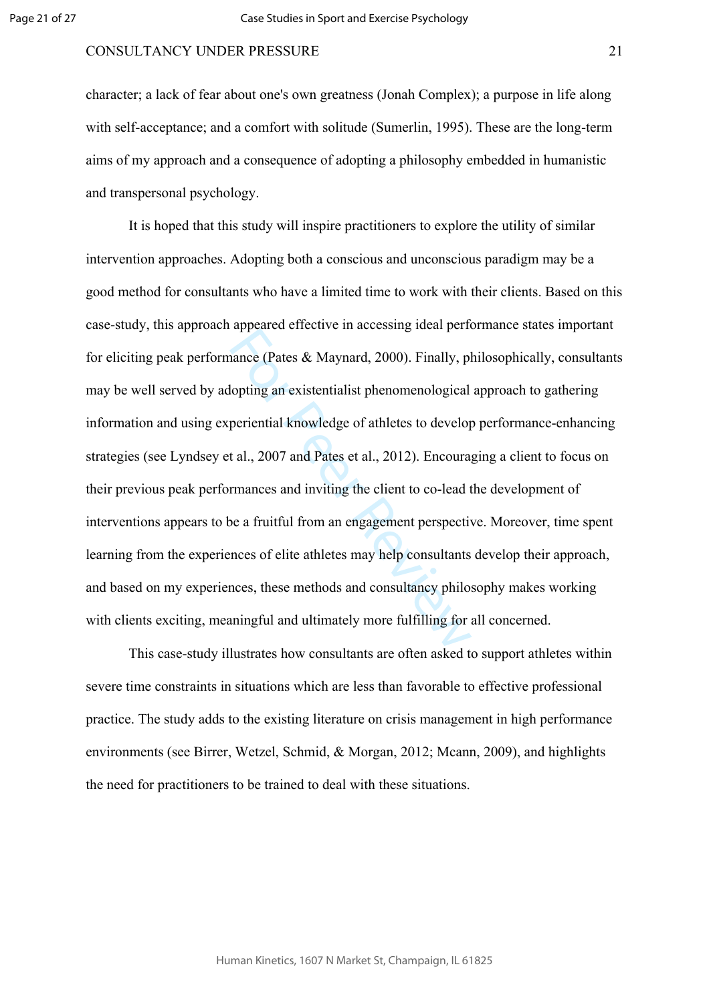character; a lack of fear about one's own greatness (Jonah Complex); a purpose in life along with self-acceptance; and a comfort with solitude (Sumerlin, 1995). These are the long-term aims of my approach and a consequence of adopting a philosophy embedded in humanistic and transpersonal psychology.

annee (Pates & Maynard, 2000). Finally, plopting an existentialist phenomenological<br>periential knowledge of athletes to develop<br>t al., 2007 and Pates et al., 2012). Encoura;<br>rmances and inviting the client to co-lead t<br>pea It is hoped that this study will inspire practitioners to explore the utility of similar intervention approaches. Adopting both a conscious and unconscious paradigm may be a good method for consultants who have a limited time to work with their clients. Based on this case-study, this approach appeared effective in accessing ideal performance states important for eliciting peak performance (Pates & Maynard, 2000). Finally, philosophically, consultants may be well served by adopting an existentialist phenomenological approach to gathering information and using experiential knowledge of athletes to develop performance-enhancing strategies (see Lyndsey et al., 2007 and Pates et al., 2012). Encouraging a client to focus on their previous peak performances and inviting the client to co-lead the development of interventions appears to be a fruitful from an engagement perspective. Moreover, time spent learning from the experiences of elite athletes may help consultants develop their approach, and based on my experiences, these methods and consultancy philosophy makes working with clients exciting, meaningful and ultimately more fulfilling for all concerned.

This case-study illustrates how consultants are often asked to support athletes within severe time constraints in situations which are less than favorable to effective professional practice. The study adds to the existing literature on crisis management in high performance environments (see Birrer, Wetzel, Schmid, & Morgan, 2012; Mcann, 2009), and highlights the need for practitioners to be trained to deal with these situations.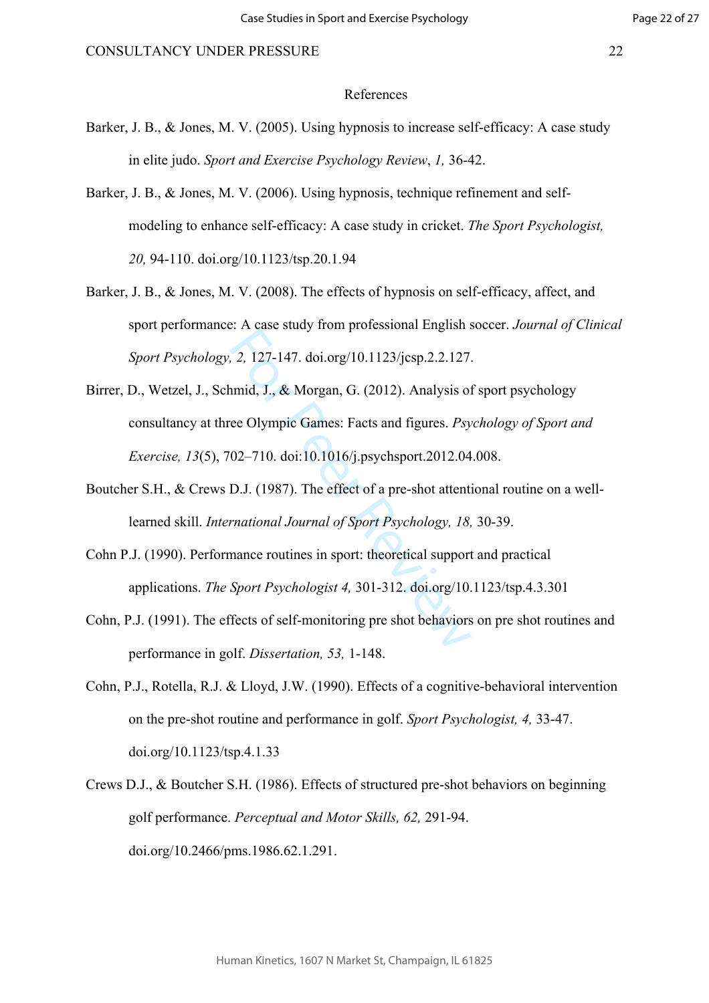- Barker, J. B., & Jones, M. V. (2005). Using hypnosis to increase self-efficacy: A case study in elite judo. *Sport and Exercise Psychology Review*, *1,* 36-42.
- Barker, J. B., & Jones, M. V. (2006). Using hypnosis, technique refinement and selfmodeling to enhance self-efficacy: A case study in cricket. *The Sport Psychologist, 20,* 94-110. doi.org/10.1123/tsp.20.1.94
- Barker, J. B., & Jones, M. V. (2008). The effects of hypnosis on self-efficacy, affect, and sport performance: A case study from professional English soccer. *Journal of Clinical Sport Psychology, 2,* 127-147. doi.org/10.1123/jcsp.2.2.127.
- 2, 127-147. doi.org/10.1123/jcsp.2.2.127.<br>
amid, J., & Morgan, G. (2012). Analysis of<br>
ee Olympic Games: Facts and figures. *Psy*<br>
02–710. doi:10.1016/j.psychsport.2012.04<br>
D.J. (1987). The effect of a pre-shot attentifica Birrer, D., Wetzel, J., Schmid, J., & Morgan, G. (2012). Analysis of sport psychology consultancy at three Olympic Games: Facts and figures. *Psychology of Sport and Exercise, 13*(5), 702–710. doi:10.1016/j.psychsport.2012.04.008.
- Boutcher S.H., & Crews D.J. (1987). The effect of a pre-shot attentional routine on a welllearned skill. *International Journal of Sport Psychology, 18,* 30-39.
- Cohn P.J. (1990). Performance routines in sport: theoretical support and practical applications. *The Sport Psychologist 4,* 301-312. doi.org/10.1123/tsp.4.3.301
- Cohn, P.J. (1991). The effects of self-monitoring pre shot behaviors on pre shot routines and performance in golf. *Dissertation, 53,* 1-148.
- Cohn, P.J., Rotella, R.J. & Lloyd, J.W. (1990). Effects of a cognitive-behavioral intervention on the pre-shot routine and performance in golf. *Sport Psychologist, 4,* 33-47. doi.org/10.1123/tsp.4.1.33
- Crews D.J., & Boutcher S.H. (1986). Effects of structured pre-shot behaviors on beginning golf performance. *Perceptual and Motor Skills, 62,* 291-94. doi.org/10.2466/pms.1986.62.1.291.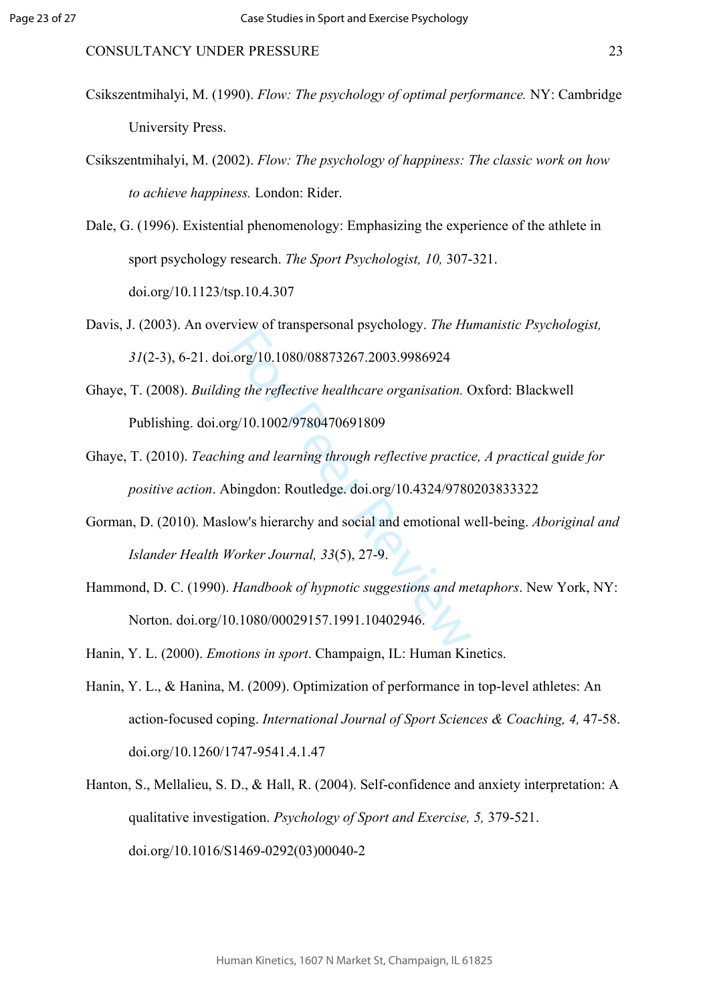- Csikszentmihalyi, M. (1990). *Flow: The psychology of optimal performance.* NY: Cambridge University Press.
- Csikszentmihalyi, M. (2002). *Flow: The psychology of happiness: The classic work on how to achieve happiness.* London: Rider.
- Dale, G. (1996). Existential phenomenology: Emphasizing the experience of the athlete in sport psychology research. *The Sport Psychologist, 10,* 307-321. doi.org/10.1123/tsp.10.4.307
- Davis, J. (2003). An overview of transpersonal psychology. *The Humanistic Psychologist, 31*(2-3), 6-21. doi.org/10.1080/08873267.2003.9986924
- rew of dampersonal psychology. The Theory<br>
org/10.1080/08873267.2003.9986924<br>
1g the reflective healthcare organisation. C<br>
(g/10.1002/9780470691809<br>
1g and learning through reflective practic<br>
bingdon: Routledge. doi.org/ Ghaye, T. (2008). *Building the reflective healthcare organisation.* Oxford: Blackwell Publishing. doi.org/10.1002/9780470691809
- Ghaye, T. (2010). *Teaching and learning through reflective practice, A practical guide for positive action*. Abingdon: Routledge. doi.org/10.4324/9780203833322
- Gorman, D. (2010). Maslow's hierarchy and social and emotional well-being. *Aboriginal and Islander Health Worker Journal, 33*(5), 27-9.
- Hammond, D. C. (1990). *Handbook of hypnotic suggestions and metaphors*. New York, NY: Norton. doi.org/10.1080/00029157.1991.10402946.
- Hanin, Y. L. (2000). *Emotions in sport*. Champaign, IL: Human Kinetics.
- Hanin, Y. L., & Hanina, M. (2009). Optimization of performance in top-level athletes: An action-focused coping. *International Journal of Sport Sciences & Coaching, 4,* 47-58. doi.org/10.1260/1747-9541.4.1.47
- Hanton, S., Mellalieu, S. D., & Hall, R. (2004). Self-confidence and anxiety interpretation: A qualitative investigation. *Psychology of Sport and Exercise, 5,* 379-521. doi.org/10.1016/S1469-0292(03)00040-2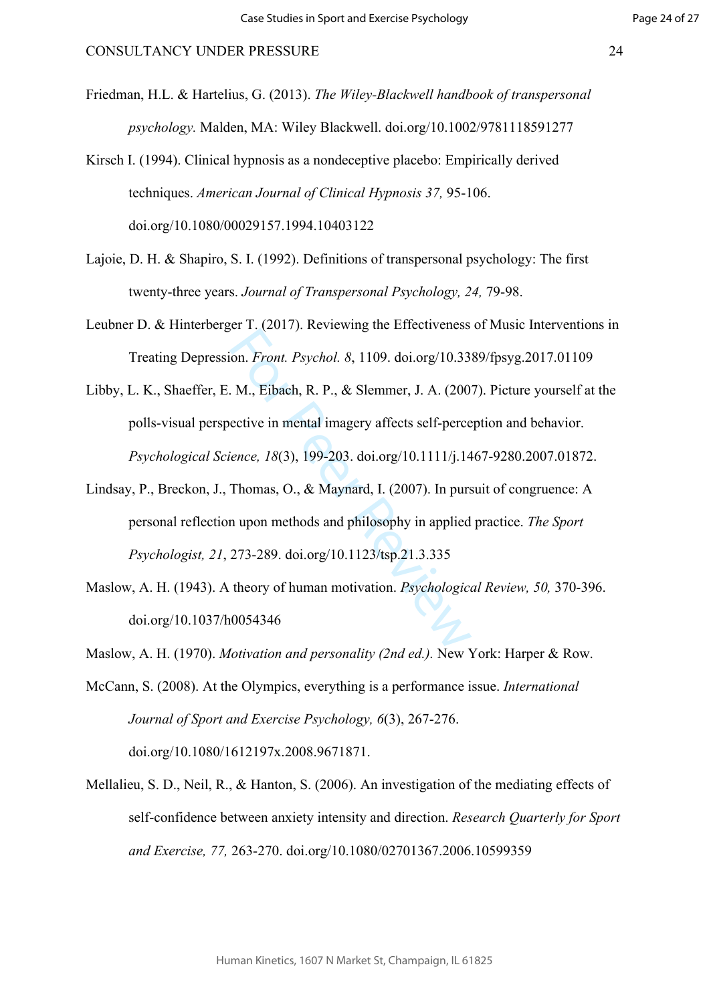Friedman, H.L. & Hartelius, G. (2013). *The Wiley-Blackwell handbook of transpersonal psychology.* Malden, MA: Wiley Blackwell. doi.org/10.1002/9781118591277

- Lajoie, D. H. & Shapiro, S. I. (1992). Definitions of transpersonal psychology: The first twenty-three years. *Journal of Transpersonal Psychology, 24,* 79-98.
- Leubner D. & Hinterberger T. (2017). Reviewing the Effectiveness of Music Interventions in Treating Depression. *Front. Psychol. 8*, 1109. doi.org/10.3389/fpsyg.2017.01109
- on. *Front. Psychol. 8*, 1109. doi.org/10.33<br>
M., Eibach, R. P., & Slemmer, J. A. (200<br>
ective in mental imagery affects self-perce<br> *ence, 18*(3), 199-203. doi.org/10.1111/j.14<br>
Thomas, O., & Maynard, I. (2007). In purs<br> Libby, L. K., Shaeffer, E. M., Eibach, R. P., & Slemmer, J. A. (2007). Picture yourself at the polls-visual perspective in mental imagery affects self-perception and behavior. *Psychological Science, 18*(3), 199-203. doi.org/10.1111/j.1467-9280.2007.01872.
- Lindsay, P., Breckon, J., Thomas, O., & Maynard, I. (2007). In pursuit of congruence: A personal reflection upon methods and philosophy in applied practice. *The Sport Psychologist, 21*, 273-289. doi.org/10.1123/tsp.21.3.335
- Maslow, A. H. (1943). A theory of human motivation. *Psychological Review, 50,* 370-396. doi.org/10.1037/h0054346

Maslow, A. H. (1970). *Motivation and personality (2nd ed.).* New York: Harper & Row.

McCann, S. (2008). At the Olympics, everything is a performance issue. *International Journal of Sport and Exercise Psychology, 6*(3), 267-276. doi.org/10.1080/1612197x.2008.9671871.

Mellalieu, S. D., Neil, R., & Hanton, S. (2006). An investigation of the mediating effects of self-confidence between anxiety intensity and direction. *Research Quarterly for Sport and Exercise, 77,* 263-270. doi.org/10.1080/02701367.2006.10599359

Kirsch I. (1994). Clinical hypnosis as a nondeceptive placebo: Empirically derived techniques. *American Journal of Clinical Hypnosis 37,* 95-106. doi.org/10.1080/00029157.1994.10403122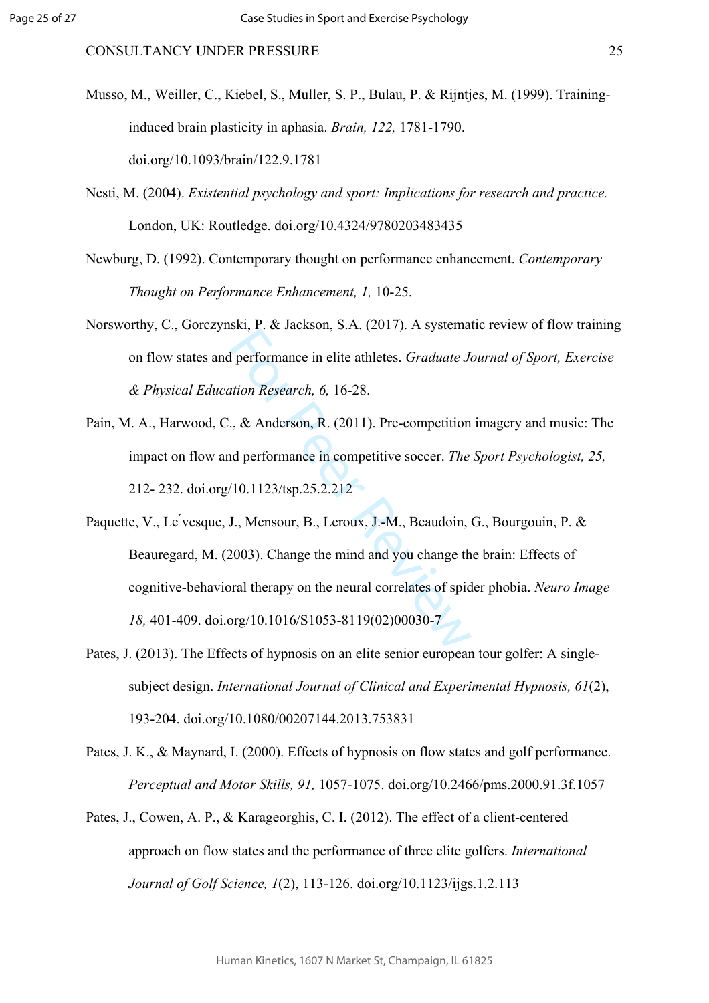- Musso, M., Weiller, C., Kiebel, S., Muller, S. P., Bulau, P. & Rijntjes, M. (1999). Traininginduced brain plasticity in aphasia. *Brain, 122,* 1781-1790. doi.org/10.1093/brain/122.9.1781
- Nesti, M. (2004). *Existential psychology and sport: Implications for research and practice.* London, UK: Routledge. doi.org/10.4324/9780203483435
- Newburg, D. (1992). Contemporary thought on performance enhancement. *Contemporary Thought on Performance Enhancement, 1,* 10-25.
- Norsworthy, C., Gorczynski, P. & Jackson, S.A. (2017). A systematic review of flow training on flow states and performance in elite athletes. *Graduate Journal of Sport, Exercise & Physical Education Research, 6,* 16-28.
- Pain, M. A., Harwood, C., & Anderson, R. (2011). Pre-competition imagery and music: The impact on flow and performance in competitive soccer. *The Sport Psychologist, 25,* 212- 232. doi.org/10.1123/tsp.25.2.212
- State Jeromance in elite athletes. *Graduate Jution Research*, 6, 16-28.<br>
., & Anderson, R. (2011). Pre-competition<br>
ad performance in competitive soccer. *The*<br>
10.1123/tsp.25.2.212<br>
J., Mensour, B., Leroux, J.-M., Beaudo Paquette, V., Le ́vesque, J., Mensour, B., Leroux, J.-M., Beaudoin, G., Bourgouin, P. & Beauregard, M. (2003). Change the mind and you change the brain: Effects of cognitive-behavioral therapy on the neural correlates of spider phobia. *Neuro Image 18,* 401-409. doi.org/10.1016/S1053-8119(02)00030-7
- Pates, J. (2013). The Effects of hypnosis on an elite senior european tour golfer: A singlesubject design. *International Journal of Clinical and Experimental Hypnosis, 61*(2), 193-204. doi.org/10.1080/00207144.2013.753831
- Pates, J. K., & Maynard, I. (2000). Effects of hypnosis on flow states and golf performance. *Perceptual and Motor Skills, 91,* 1057-1075. doi.org/10.2466/pms.2000.91.3f.1057
- Pates, J., Cowen, A. P., & Karageorghis, C. I. (2012). The effect of a client-centered approach on flow states and the performance of three elite golfers. *International Journal of Golf Science, 1*(2), 113-126. doi.org/10.1123/ijgs.1.2.113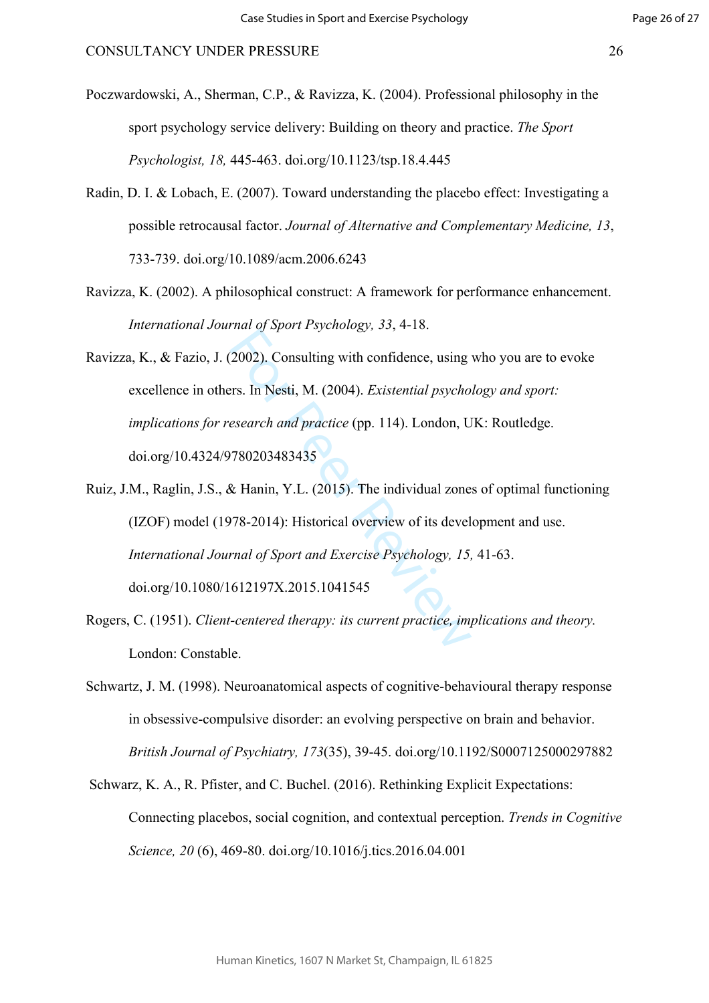Page 26 of 27

Poczwardowski, A., Sherman, C.P., & Ravizza, K. (2004). Professional philosophy in the sport psychology service delivery: Building on theory and practice. *The Sport Psychologist, 18,* 445-463. doi.org/10.1123/tsp.18.4.445

- Radin, D. I. & Lobach, E. (2007). Toward understanding the placebo effect: Investigating a possible retrocausal factor. *Journal of Alternative and Complementary Medicine, 13*, 733-739. doi.org/10.1089/acm.2006.6243
- Ravizza, K. (2002). A philosophical construct: A framework for performance enhancement. *International Journal of Sport Psychology, 33*, 4-18.
- mar ef spental sychology, 22, 110.<br>
2002). Consulting with confidence, using<br>
rs. In Nesti, M. (2004). *Existential psycho*<br>
esearch and practice (pp. 114). London, U<br>
780203483435<br>
& Hanin, Y.L. (2015). The individual zon Ravizza, K., & Fazio, J. (2002). Consulting with confidence, using who you are to evoke excellence in others. In Nesti, M. (2004). *Existential psychology and sport: implications for research and practice* (pp. 114). London, UK: Routledge. doi.org/10.4324/9780203483435

Ruiz, J.M., Raglin, J.S., & Hanin, Y.L. (2015). The individual zones of optimal functioning (IZOF) model (1978-2014): Historical overview of its development and use. *International Journal of Sport and Exercise Psychology, 15,* 41-63. doi.org/10.1080/1612197X.2015.1041545

- Rogers, C. (1951). *Client-centered therapy: its current practice, implications and theory.* London: Constable.
- Schwartz, J. M. (1998). Neuroanatomical aspects of cognitive-behavioural therapy response in obsessive-compulsive disorder: an evolving perspective on brain and behavior. *British Journal of Psychiatry, 173*(35), 39-45. doi.org/10.1192/S0007125000297882
- Schwarz, K. A., R. Pfister, and C. Buchel. (2016). Rethinking Explicit Expectations: Connecting placebos, social cognition, and contextual perception. *Trends in Cognitive Science, 20* (6), 469-80. doi.org/10.1016/j.tics.2016.04.001